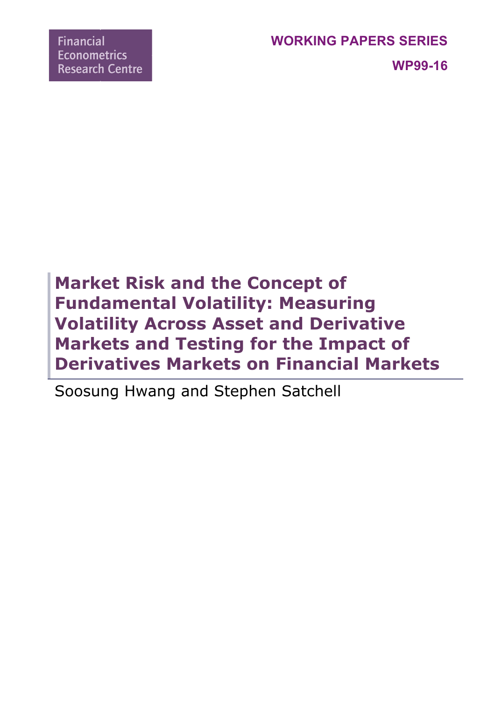**WP99-16**

# **Market Risk and the Concept of Fundamental Volatility: Measuring Volatility Across Asset and Derivative Markets and Testing for the Impact of Derivatives Markets on Financial Markets**

Soosung Hwang and Stephen Satchell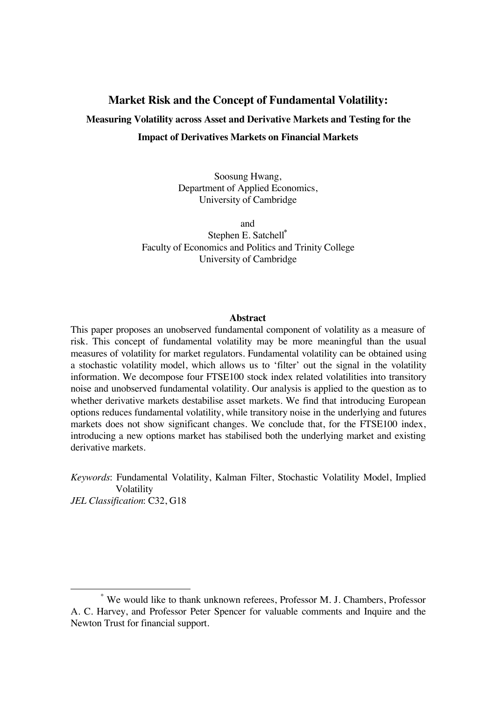# **Market Risk and the Concept of Fundamental Volatility: Measuring Volatility across Asset and Derivative Markets and Testing for the Impact of Derivatives Markets on Financial Markets**

Soosung Hwang, Department of Applied Economics, University of Cambridge

and

Stephen E. Satchell**\*** Faculty of Economics and Politics and Trinity College University of Cambridge

### **Abstract**

This paper proposes an unobserved fundamental component of volatility as a measure of risk. This concept of fundamental volatility may be more meaningful than the usual measures of volatility for market regulators. Fundamental volatility can be obtained using a stochastic volatility model, which allows us to 'filter' out the signal in the volatility information. We decompose four FTSE100 stock index related volatilities into transitory noise and unobserved fundamental volatility. Our analysis is applied to the question as to whether derivative markets destabilise asset markets. We find that introducing European options reduces fundamental volatility, while transitory noise in the underlying and futures markets does not show significant changes. We conclude that, for the FTSE100 index, introducing a new options market has stabilised both the underlying market and existing derivative markets.

*Keywords*: Fundamental Volatility, Kalman Filter, Stochastic Volatility Model, Implied Volatility *JEL Classification*: C32, G18

 <sup>\*</sup> We would like to thank unknown referees, Professor M. J. Chambers, Professor A. C. Harvey, and Professor Peter Spencer for valuable comments and Inquire and the Newton Trust for financial support.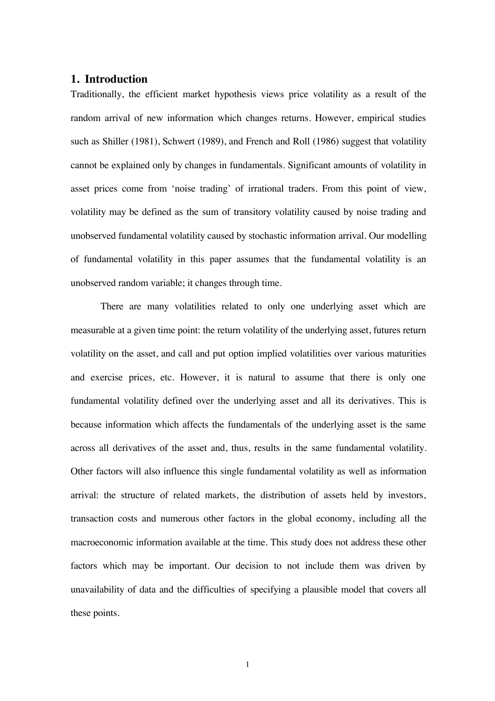# **1. Introduction**

Traditionally, the efficient market hypothesis views price volatility as a result of the random arrival of new information which changes returns. However, empirical studies such as Shiller (1981), Schwert (1989), and French and Roll (1986) suggest that volatility cannot be explained only by changes in fundamentals. Significant amounts of volatility in asset prices come from 'noise trading' of irrational traders. From this point of view, volatility may be defined as the sum of transitory volatility caused by noise trading and unobserved fundamental volatility caused by stochastic information arrival. Our modelling of fundamental volatility in this paper assumes that the fundamental volatility is an unobserved random variable; it changes through time.

There are many volatilities related to only one underlying asset which are measurable at a given time point: the return volatility of the underlying asset, futures return volatility on the asset, and call and put option implied volatilities over various maturities and exercise prices, etc. However, it is natural to assume that there is only one fundamental volatility defined over the underlying asset and all its derivatives. This is because information which affects the fundamentals of the underlying asset is the same across all derivatives of the asset and, thus, results in the same fundamental volatility. Other factors will also influence this single fundamental volatility as well as information arrival: the structure of related markets, the distribution of assets held by investors, transaction costs and numerous other factors in the global economy, including all the macroeconomic information available at the time. This study does not address these other factors which may be important. Our decision to not include them was driven by unavailability of data and the difficulties of specifying a plausible model that covers all these points.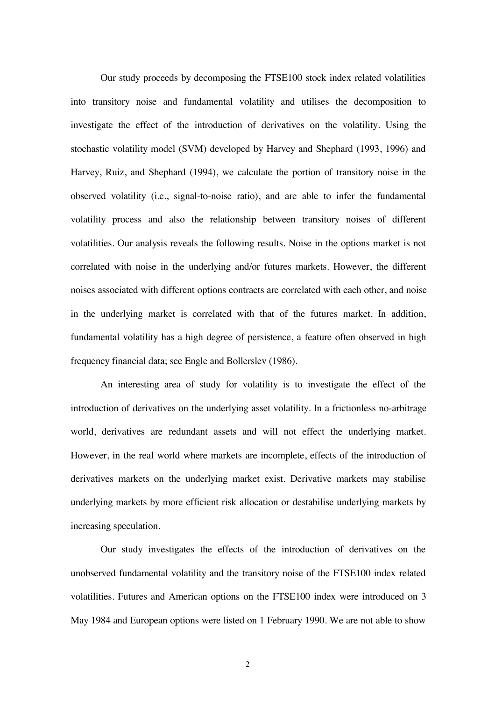Our study proceeds by decomposing the FTSE100 stock index related volatilities into transitory noise and fundamental volatility and utilises the decomposition to investigate the effect of the introduction of derivatives on the volatility. Using the stochastic volatility model (SVM) developed by Harvey and Shephard (1993, 1996) and Harvey, Ruiz, and Shephard (1994), we calculate the portion of transitory noise in the observed volatility (i.e., signal-to-noise ratio), and are able to infer the fundamental volatility process and also the relationship between transitory noises of different volatilities. Our analysis reveals the following results. Noise in the options market is not correlated with noise in the underlying and/or futures markets. However, the different noises associated with different options contracts are correlated with each other, and noise in the underlying market is correlated with that of the futures market. In addition, fundamental volatility has a high degree of persistence, a feature often observed in high frequency financial data; see Engle and Bollerslev (1986).

An interesting area of study for volatility is to investigate the effect of the introduction of derivatives on the underlying asset volatility. In a frictionless no-arbitrage world, derivatives are redundant assets and will not effect the underlying market. However, in the real world where markets are incomplete, effects of the introduction of derivatives markets on the underlying market exist. Derivative markets may stabilise underlying markets by more efficient risk allocation or destabilise underlying markets by increasing speculation.

Our study investigates the effects of the introduction of derivatives on the unobserved fundamental volatility and the transitory noise of the FTSE100 index related volatilities. Futures and American options on the FTSE100 index were introduced on 3 May 1984 and European options were listed on 1 February 1990. We are not able to show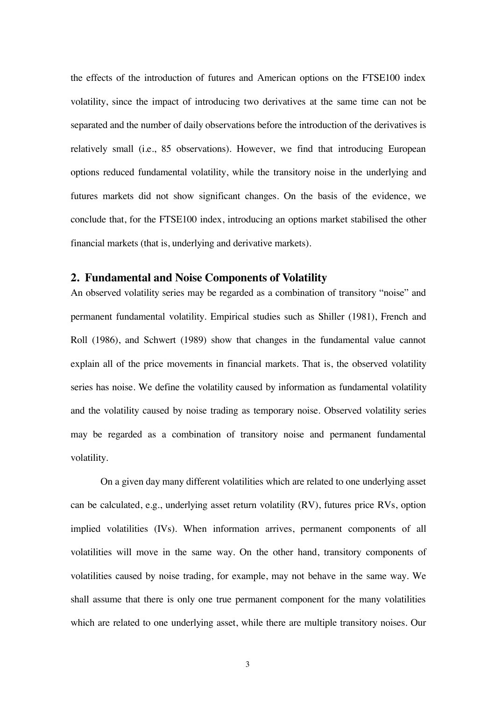the effects of the introduction of futures and American options on the FTSE100 index volatility, since the impact of introducing two derivatives at the same time can not be separated and the number of daily observations before the introduction of the derivatives is relatively small (i.e., 85 observations). However, we find that introducing European options reduced fundamental volatility, while the transitory noise in the underlying and futures markets did not show significant changes. On the basis of the evidence, we conclude that, for the FTSE100 index, introducing an options market stabilised the other financial markets (that is, underlying and derivative markets).

# **2. Fundamental and Noise Components of Volatility**

An observed volatility series may be regarded as a combination of transitory "noise" and permanent fundamental volatility. Empirical studies such as Shiller (1981), French and Roll (1986), and Schwert (1989) show that changes in the fundamental value cannot explain all of the price movements in financial markets. That is, the observed volatility series has noise. We define the volatility caused by information as fundamental volatility and the volatility caused by noise trading as temporary noise. Observed volatility series may be regarded as a combination of transitory noise and permanent fundamental volatility.

On a given day many different volatilities which are related to one underlying asset can be calculated, e.g., underlying asset return volatility (RV), futures price RVs, option implied volatilities (IVs). When information arrives, permanent components of all volatilities will move in the same way. On the other hand, transitory components of volatilities caused by noise trading, for example, may not behave in the same way. We shall assume that there is only one true permanent component for the many volatilities which are related to one underlying asset, while there are multiple transitory noises. Our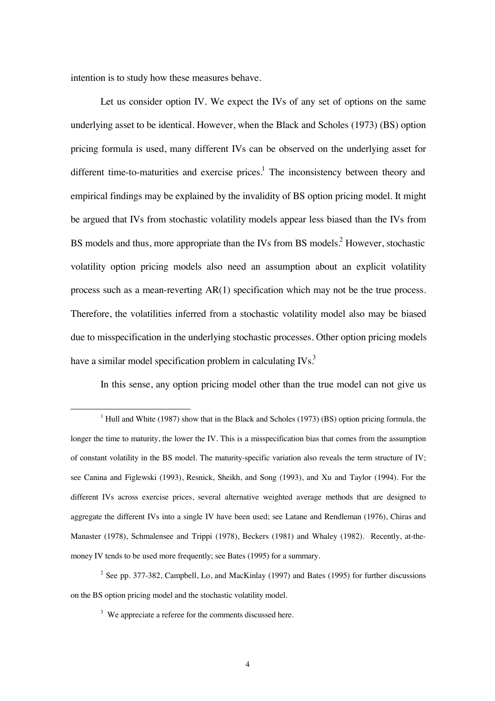intention is to study how these measures behave.

Let us consider option IV. We expect the IVs of any set of options on the same underlying asset to be identical. However, when the Black and Scholes (1973) (BS) option pricing formula is used, many different IVs can be observed on the underlying asset for different time-to-maturities and exercise prices.<sup>1</sup> The inconsistency between theory and empirical findings may be explained by the invalidity of BS option pricing model. It might be argued that IVs from stochastic volatility models appear less biased than the IVs from BS models and thus, more appropriate than the IVs from BS models.<sup>2</sup> However, stochastic volatility option pricing models also need an assumption about an explicit volatility process such as a mean-reverting AR(1) specification which may not be the true process. Therefore, the volatilities inferred from a stochastic volatility model also may be biased due to misspecification in the underlying stochastic processes. Other option pricing models have a similar model specification problem in calculating  $\text{IVs}^3$ .

In this sense, any option pricing model other than the true model can not give us

<sup>2</sup> See pp. 377-382, Campbell, Lo, and MacKinlay (1997) and Bates (1995) for further discussions on the BS option pricing model and the stochastic volatility model.

<sup>&</sup>lt;u>1</u>  $<sup>1</sup>$  Hull and White (1987) show that in the Black and Scholes (1973) (BS) option pricing formula, the</sup> longer the time to maturity, the lower the IV. This is a misspecification bias that comes from the assumption of constant volatility in the BS model. The maturity-specific variation also reveals the term structure of IV; see Canina and Figlewski (1993), Resnick, Sheikh, and Song (1993), and Xu and Taylor (1994). For the different IVs across exercise prices, several alternative weighted average methods that are designed to aggregate the different IVs into a single IV have been used; see Latane and Rendleman (1976), Chiras and Manaster (1978), Schmalensee and Trippi (1978), Beckers (1981) and Whaley (1982). Recently, at-themoney IV tends to be used more frequently; see Bates (1995) for a summary.

 $3$  We appreciate a referee for the comments discussed here.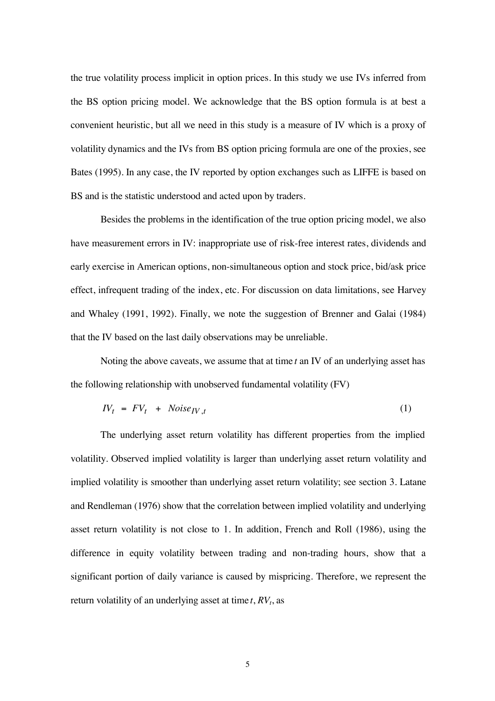the true volatility process implicit in option prices. In this study we use IVs inferred from the BS option pricing model. We acknowledge that the BS option formula is at best a convenient heuristic, but all we need in this study is a measure of IV which is a proxy of volatility dynamics and the IVs from BS option pricing formula are one of the proxies, see Bates (1995). In any case, the IV reported by option exchanges such as LIFFE is based on BS and is the statistic understood and acted upon by traders.

Besides the problems in the identification of the true option pricing model, we also have measurement errors in IV: inappropriate use of risk-free interest rates, dividends and early exercise in American options, non-simultaneous option and stock price, bid/ask price effect, infrequent trading of the index, etc. For discussion on data limitations, see Harvey and Whaley (1991, 1992). Finally, we note the suggestion of Brenner and Galai (1984) that the IV based on the last daily observations may be unreliable.

Noting the above caveats, we assume that at time *t* an IV of an underlying asset has the following relationship with unobserved fundamental volatility (FV)

$$
IV_t = FV_t + Noise_{IV,t}
$$
 (1)

The underlying asset return volatility has different properties from the implied volatility. Observed implied volatility is larger than underlying asset return volatility and implied volatility is smoother than underlying asset return volatility; see section 3. Latane and Rendleman (1976) show that the correlation between implied volatility and underlying asset return volatility is not close to 1. In addition, French and Roll (1986), using the difference in equity volatility between trading and non-trading hours, show that a significant portion of daily variance is caused by mispricing. Therefore, we represent the return volatility of an underlying asset at time  $t$ ,  $RV<sub>t</sub>$ , as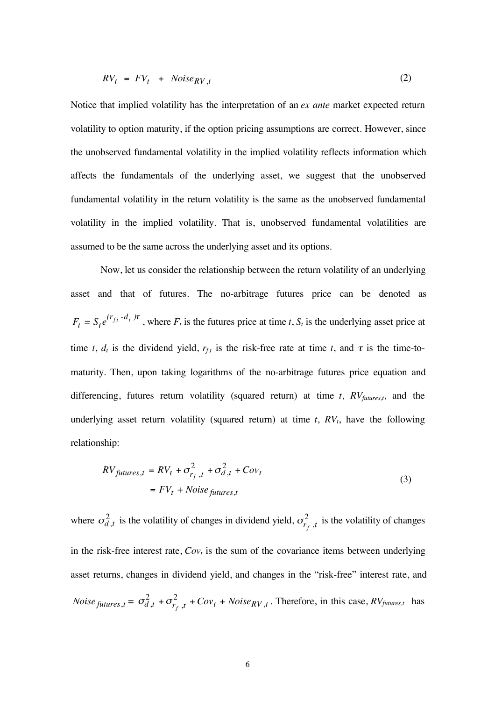$$
RV_t = FV_t + Noise_{RV,t}
$$
 (2)

Notice that implied volatility has the interpretation of an *ex ante* market expected return volatility to option maturity, if the option pricing assumptions are correct. However, since the unobserved fundamental volatility in the implied volatility reflects information which affects the fundamentals of the underlying asset, we suggest that the unobserved fundamental volatility in the return volatility is the same as the unobserved fundamental volatility in the implied volatility. That is, unobserved fundamental volatilities are assumed to be the same across the underlying asset and its options.

Now, let us consider the relationship between the return volatility of an underlying asset and that of futures. The no-arbitrage futures price can be denoted as  $F_t = S_t e^{(r_{f,t} - d_t)\tau}$ , where  $F_t$  is the futures price at time *t*,  $S_t$  is the underlying asset price at time *t*,  $d_t$  is the dividend yield,  $r_{f,t}$  is the risk-free rate at time *t*, and  $\tau$  is the time-tomaturity. Then, upon taking logarithms of the no-arbitrage futures price equation and differencing, futures return volatility (squared return) at time  $t$ ,  $RV_{futures,t}$ , and the underlying asset return volatility (squared return) at time  $t$ ,  $RV<sub>t</sub>$ , have the following relationship:

$$
RV_{futures, t} = RV_t + \sigma_{r_f, t}^2 + \sigma_{d, t}^2 + Cov_t
$$
  
=  $FV_t + Noise_{futures, t}$  (3)

where  $\sigma_{d,t}^2$  is the volatility of changes in dividend yield,  $\sigma_{r_f,t}^2$  is the volatility of changes in the risk-free interest rate,  $Cov_t$  is the sum of the covariance items between underlying asset returns, changes in dividend yield, and changes in the "risk-free" interest rate, and *Noise*  $_{futures, t} = \sigma_{d, t}^2 + \sigma_{r_f, t}^2 + Cov_t + Noise_{RV, t}$ . Therefore, in this case,  $RV_{futures, t}$  has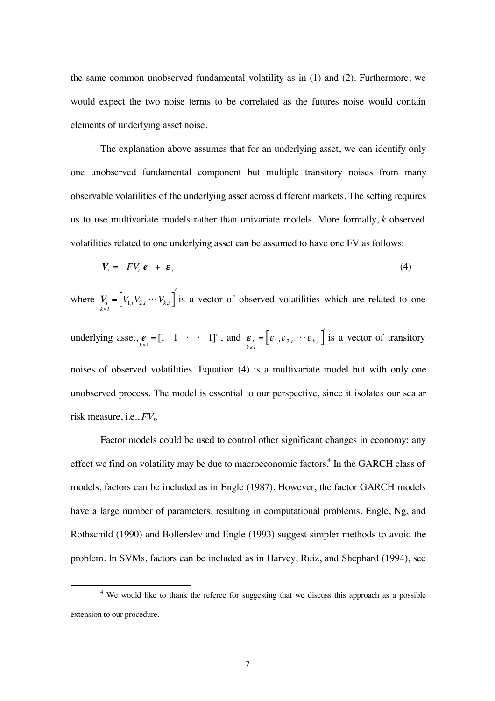the same common unobserved fundamental volatility as in (1) and (2). Furthermore, we would expect the two noise terms to be correlated as the futures noise would contain elements of underlying asset noise.

The explanation above assumes that for an underlying asset, we can identify only one unobserved fundamental component but multiple transitory noises from many observable volatilities of the underlying asset across different markets. The setting requires us to use multivariate models rather than univariate models. More formally, *k* observed volatilities related to one underlying asset can be assumed to have one FV as follows:

$$
V_t = F V_t e + \varepsilon_t \tag{4}
$$

where  $V_t = \left[ V_{1,t} V_{2,t} \cdots V_{k,t} \right]$  is a vector of observed volatilities which are related to one underlying asset,  $e_{\kappa} = \begin{bmatrix} 1 & 1 & \cdots & 1 \end{bmatrix}$ , and  $\mathbf{\varepsilon}_{\kappa} = \begin{bmatrix} \varepsilon_{1,t} \varepsilon_{2,t} & \cdots & \varepsilon_{k,t} \end{bmatrix}$  is a vector of transitory noises of observed volatilities. Equation (4) is a multivariate model but with only one unobserved process. The model is essential to our perspective, since it isolates our scalar risk measure, i.e.,  $FV_t$ .

Factor models could be used to control other significant changes in economy; any effect we find on volatility may be due to macroeconomic factors.<sup>4</sup> In the GARCH class of models, factors can be included as in Engle (1987). However, the factor GARCH models have a large number of parameters, resulting in computational problems. Engle, Ng, and Rothschild (1990) and Bollerslev and Engle (1993) suggest simpler methods to avoid the problem. In SVMs, factors can be included as in Harvey, Ruiz, and Shephard (1994), see

 $\overline{4}$ <sup>4</sup> We would like to thank the referee for suggesting that we discuss this approach as a possible extension to our procedure.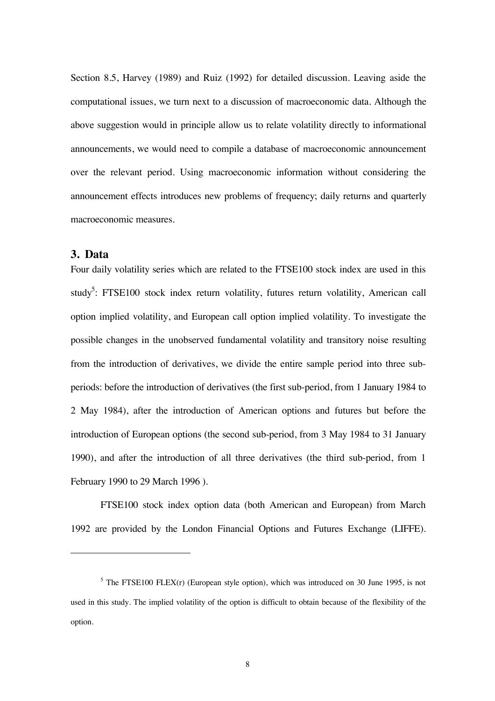Section 8.5, Harvey (1989) and Ruiz (1992) for detailed discussion. Leaving aside the computational issues, we turn next to a discussion of macroeconomic data. Although the above suggestion would in principle allow us to relate volatility directly to informational announcements, we would need to compile a database of macroeconomic announcement over the relevant period. Using macroeconomic information without considering the announcement effects introduces new problems of frequency; daily returns and quarterly macroeconomic measures.

# **3. Data**

 $\overline{a}$ 

Four daily volatility series which are related to the FTSE100 stock index are used in this study<sup>5</sup>: FTSE100 stock index return volatility, futures return volatility, American call option implied volatility, and European call option implied volatility. To investigate the possible changes in the unobserved fundamental volatility and transitory noise resulting from the introduction of derivatives, we divide the entire sample period into three subperiods: before the introduction of derivatives (the first sub-period, from 1 January 1984 to 2 May 1984), after the introduction of American options and futures but before the introduction of European options (the second sub-period, from 3 May 1984 to 31 January 1990), and after the introduction of all three derivatives (the third sub-period, from 1 February 1990 to 29 March 1996 ).

FTSE100 stock index option data (both American and European) from March 1992 are provided by the London Financial Options and Futures Exchange (LIFFE).

 $<sup>5</sup>$  The FTSE100 FLEX(r) (European style option), which was introduced on 30 June 1995, is not</sup> used in this study. The implied volatility of the option is difficult to obtain because of the flexibility of the option.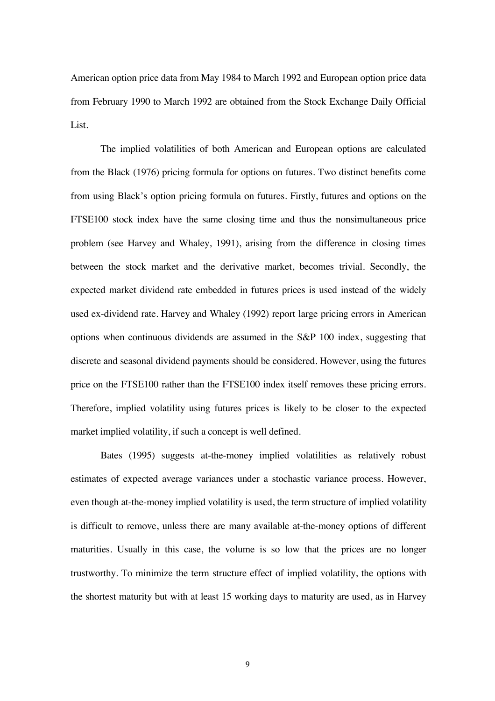American option price data from May 1984 to March 1992 and European option price data from February 1990 to March 1992 are obtained from the Stock Exchange Daily Official List.

The implied volatilities of both American and European options are calculated from the Black (1976) pricing formula for options on futures. Two distinct benefits come from using Black's option pricing formula on futures. Firstly, futures and options on the FTSE100 stock index have the same closing time and thus the nonsimultaneous price problem (see Harvey and Whaley, 1991), arising from the difference in closing times between the stock market and the derivative market, becomes trivial. Secondly, the expected market dividend rate embedded in futures prices is used instead of the widely used ex-dividend rate. Harvey and Whaley (1992) report large pricing errors in American options when continuous dividends are assumed in the S&P 100 index, suggesting that discrete and seasonal dividend payments should be considered. However, using the futures price on the FTSE100 rather than the FTSE100 index itself removes these pricing errors. Therefore, implied volatility using futures prices is likely to be closer to the expected market implied volatility, if such a concept is well defined.

Bates (1995) suggests at-the-money implied volatilities as relatively robust estimates of expected average variances under a stochastic variance process. However, even though at-the-money implied volatility is used, the term structure of implied volatility is difficult to remove, unless there are many available at-the-money options of different maturities. Usually in this case, the volume is so low that the prices are no longer trustworthy. To minimize the term structure effect of implied volatility, the options with the shortest maturity but with at least 15 working days to maturity are used, as in Harvey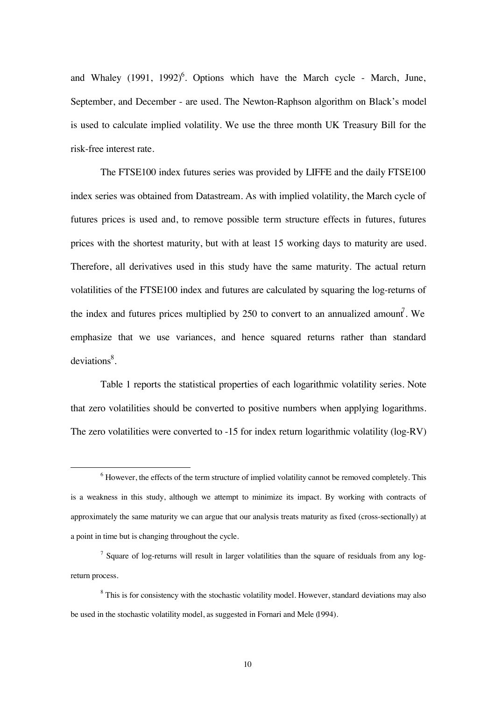and Whaley  $(1991, 1992)^6$ . Options which have the March cycle - March, June, September, and December - are used. The Newton-Raphson algorithm on Black's model is used to calculate implied volatility. We use the three month UK Treasury Bill for the risk-free interest rate.

The FTSE100 index futures series was provided by LIFFE and the daily FTSE100 index series was obtained from Datastream. As with implied volatility, the March cycle of futures prices is used and, to remove possible term structure effects in futures, futures prices with the shortest maturity, but with at least 15 working days to maturity are used. Therefore, all derivatives used in this study have the same maturity. The actual return volatilities of the FTSE100 index and futures are calculated by squaring the log-returns of the index and futures prices multiplied by 250 to convert to an annualized amount. We emphasize that we use variances, and hence squared returns rather than standard deviations<sup>8</sup>.

Table 1 reports the statistical properties of each logarithmic volatility series. Note that zero volatilities should be converted to positive numbers when applying logarithms. The zero volatilities were converted to -15 for index return logarithmic volatility (log-RV)

 <sup>6</sup>  $6$  However, the effects of the term structure of implied volatility cannot be removed completely. This is a weakness in this study, although we attempt to minimize its impact. By working with contracts of approximately the same maturity we can argue that our analysis treats maturity as fixed (cross-sectionally) at a point in time but is changing throughout the cycle.

 $<sup>7</sup>$  Square of log-returns will result in larger volatilities than the square of residuals from any log-</sup> return process.

<sup>&</sup>lt;sup>8</sup> This is for consistency with the stochastic volatility model. However, standard deviations may also be used in the stochastic volatility model, as suggested in Fornari and Mele (1994).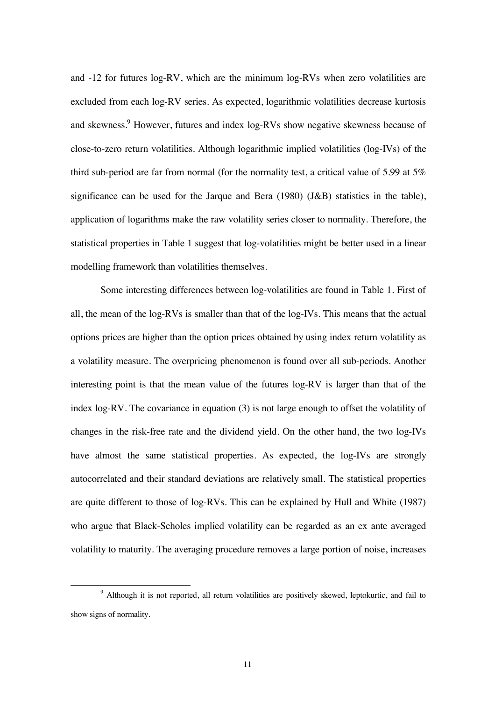and -12 for futures log-RV, which are the minimum log-RVs when zero volatilities are excluded from each log-RV series. As expected, logarithmic volatilities decrease kurtosis and skewness.<sup>9</sup> However, futures and index log-RVs show negative skewness because of close-to-zero return volatilities. Although logarithmic implied volatilities (log-IVs) of the third sub-period are far from normal (for the normality test, a critical value of 5.99 at 5% significance can be used for the Jarque and Bera (1980) (J&B) statistics in the table), application of logarithms make the raw volatility series closer to normality. Therefore, the statistical properties in Table 1 suggest that log-volatilities might be better used in a linear modelling framework than volatilities themselves.

Some interesting differences between log-volatilities are found in Table 1. First of all, the mean of the log-RVs is smaller than that of the log-IVs. This means that the actual options prices are higher than the option prices obtained by using index return volatility as a volatility measure. The overpricing phenomenon is found over all sub-periods. Another interesting point is that the mean value of the futures log-RV is larger than that of the index log-RV. The covariance in equation (3) is not large enough to offset the volatility of changes in the risk-free rate and the dividend yield. On the other hand, the two log-IVs have almost the same statistical properties. As expected, the log-IVs are strongly autocorrelated and their standard deviations are relatively small. The statistical properties are quite different to those of log-RVs. This can be explained by Hull and White (1987) who argue that Black-Scholes implied volatility can be regarded as an ex ante averaged volatility to maturity. The averaging procedure removes a large portion of noise, increases

 <sup>9</sup> <sup>9</sup> Although it is not reported, all return volatilities are positively skewed, leptokurtic, and fail to show signs of normality.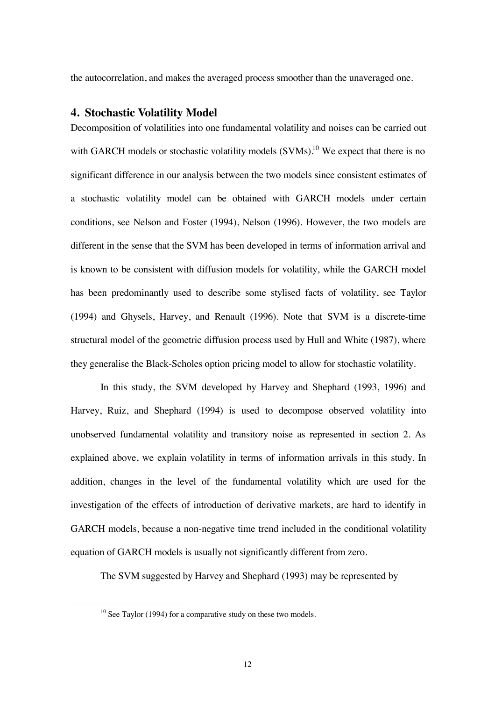the autocorrelation, and makes the averaged process smoother than the unaveraged one.

### **4. Stochastic Volatility Model**

Decomposition of volatilities into one fundamental volatility and noises can be carried out with GARCH models or stochastic volatility models  $(SVMs)$ .<sup>10</sup> We expect that there is no significant difference in our analysis between the two models since consistent estimates of a stochastic volatility model can be obtained with GARCH models under certain conditions, see Nelson and Foster (1994), Nelson (1996). However, the two models are different in the sense that the SVM has been developed in terms of information arrival and is known to be consistent with diffusion models for volatility, while the GARCH model has been predominantly used to describe some stylised facts of volatility, see Taylor (1994) and Ghysels, Harvey, and Renault (1996). Note that SVM is a discrete-time structural model of the geometric diffusion process used by Hull and White (1987), where they generalise the Black-Scholes option pricing model to allow for stochastic volatility.

In this study, the SVM developed by Harvey and Shephard (1993, 1996) and Harvey, Ruiz, and Shephard (1994) is used to decompose observed volatility into unobserved fundamental volatility and transitory noise as represented in section 2. As explained above, we explain volatility in terms of information arrivals in this study. In addition, changes in the level of the fundamental volatility which are used for the investigation of the effects of introduction of derivative markets, are hard to identify in GARCH models, because a non-negative time trend included in the conditional volatility equation of GARCH models is usually not significantly different from zero.

The SVM suggested by Harvey and Shephard (1993) may be represented by

 $10$  See Taylor (1994) for a comparative study on these two models.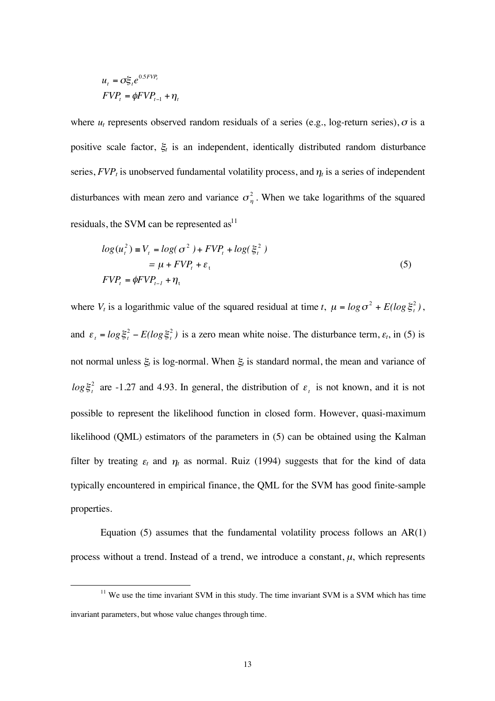$$
u_t = \sigma \xi_t e^{0.5 FVP_t}
$$
  
 
$$
FVP_t = \phi FVP_{t-1} + \eta_t
$$

where  $u_t$  represents observed random residuals of a series (e.g., log-return series),  $\sigma$  is a positive scale factor,  $\xi$  is an independent, identically distributed random disturbance series,  $FVP_t$  is unobserved fundamental volatility process, and  $\eta_t$  is a series of independent disturbances with mean zero and variance  $\sigma_n^2$ . When we take logarithms of the squared residuals, the SVM can be represented  $\text{as}^{11}$ 

$$
log(ut2) = Vt = log(\sigma2) + FVPt + log(\xit2)
$$
  
=  $\mu + FVPt + \varepsilont$  (5)  

$$
FVPt = \phi FVPt-1 + \etat
$$

where  $V_t$  is a logarithmic value of the squared residual at time *t*,  $\mu = \log \sigma^2 + E(\log \xi_t^2)$ , and  $\varepsilon_t = \log \xi_t^2 - E(\log \xi_t^2)$  is a zero mean white noise. The disturbance term,  $\varepsilon_t$ , in (5) is not normal unless  $\xi_t$  is log-normal. When  $\xi_t$  is standard normal, the mean and variance of  $log \xi_i^2$  are -1.27 and 4.93. In general, the distribution of  $\varepsilon_i$  is not known, and it is not possible to represent the likelihood function in closed form. However, quasi-maximum likelihood (QML) estimators of the parameters in (5) can be obtained using the Kalman filter by treating  $\varepsilon_t$  and  $\eta_t$  as normal. Ruiz (1994) suggests that for the kind of data typically encountered in empirical finance, the QML for the SVM has good finite-sample properties.

Equation  $(5)$  assumes that the fundamental volatility process follows an  $AR(1)$ process without a trend. Instead of a trend, we introduce a constant,  $\mu$ , which represents

 $11$  We use the time invariant SVM in this study. The time invariant SVM is a SVM which has time invariant parameters, but whose value changes through time.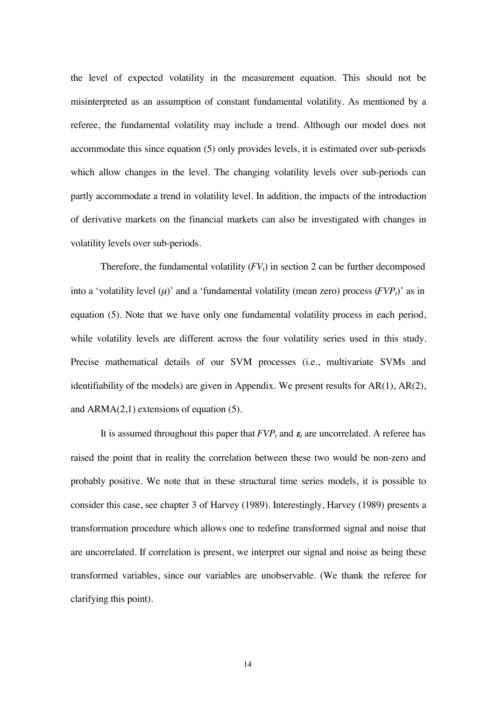the level of expected volatility in the measurement equation. This should not be misinterpreted as an assumption of constant fundamental volatility. As mentioned by a referee, the fundamental volatility may include a trend. Although our model does not accommodate this since equation (5) only provides levels, it is estimated over sub-periods which allow changes in the level. The changing volatility levels over sub-periods can partly accommodate a trend in volatility level. In addition, the impacts of the introduction of derivative markets on the financial markets can also be investigated with changes in volatility levels over sub-periods.

Therefore, the fundamental volatility  $(FV_t)$  in section 2 can be further decomposed into a 'volatility level  $(\mu)$ ' and a 'fundamental volatility (mean zero) process  $(FVP<sub>t</sub>)$ ' as in equation (5). Note that we have only one fundamental volatility process in each period, while volatility levels are different across the four volatility series used in this study. Precise mathematical details of our SVM processes (i.e., multivariate SVMs and identifiability of the models) are given in Appendix. We present results for  $AR(1)$ ,  $AR(2)$ , and ARMA(2,1) extensions of equation (5).

It is assumed throughout this paper that  $FVP_t$  and  $\varepsilon_t$  are uncorrelated. A referee has raised the point that in reality the correlation between these two would be non-zero and probably positive. We note that in these structural time series models, it is possible to consider this case, see chapter 3 of Harvey (1989). Interestingly, Harvey (1989) presents a transformation procedure which allows one to redefine transformed signal and noise that are uncorrelated. If correlation is present, we interpret our signal and noise as being these transformed variables, since our variables are unobservable. (We thank the referee for clarifying this point).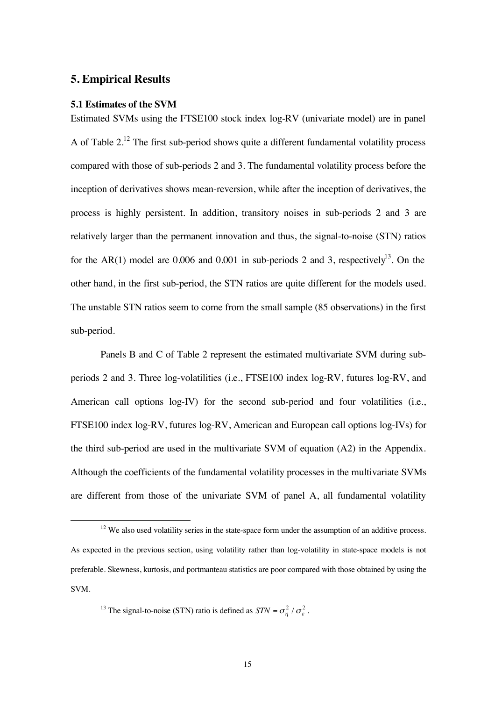# **5. Empirical Results**

### **5.1 Estimates of the SVM**

Estimated SVMs using the FTSE100 stock index log-RV (univariate model) are in panel A of Table  $2<sup>12</sup>$  The first sub-period shows quite a different fundamental volatility process compared with those of sub-periods 2 and 3. The fundamental volatility process before the inception of derivatives shows mean-reversion, while after the inception of derivatives, the process is highly persistent. In addition, transitory noises in sub-periods 2 and 3 are relatively larger than the permanent innovation and thus, the signal-to-noise (STN) ratios for the AR(1) model are 0.006 and 0.001 in sub-periods 2 and 3, respectively<sup>13</sup>. On the other hand, in the first sub-period, the STN ratios are quite different for the models used. The unstable STN ratios seem to come from the small sample (85 observations) in the first sub-period.

Panels B and C of Table 2 represent the estimated multivariate SVM during subperiods 2 and 3. Three log-volatilities (i.e., FTSE100 index log-RV, futures log-RV, and American call options log-IV) for the second sub-period and four volatilities (i.e., FTSE100 index log-RV, futures log-RV, American and European call options log-IVs) for the third sub-period are used in the multivariate SVM of equation (A2) in the Appendix. Although the coefficients of the fundamental volatility processes in the multivariate SVMs are different from those of the univariate SVM of panel A, all fundamental volatility

 $12$  We also used volatility series in the state-space form under the assumption of an additive process. As expected in the previous section, using volatility rather than log-volatility in state-space models is not preferable. Skewness, kurtosis, and portmanteau statistics are poor compared with those obtained by using the SVM.

<sup>&</sup>lt;sup>13</sup> The signal-to-noise (STN) ratio is defined as  $STN = \sigma_n^2 / \sigma_{\epsilon}^2$ .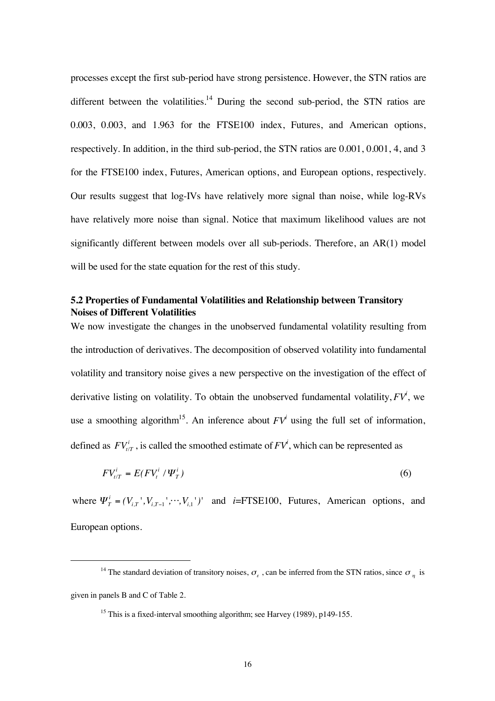processes except the first sub-period have strong persistence. However, the STN ratios are different between the volatilities.<sup>14</sup> During the second sub-period, the STN ratios are 0.003, 0.003, and 1.963 for the FTSE100 index, Futures, and American options, respectively. In addition, in the third sub-period, the STN ratios are 0.001, 0.001, 4, and 3 for the FTSE100 index, Futures, American options, and European options, respectively. Our results suggest that log-IVs have relatively more signal than noise, while log-RVs have relatively more noise than signal. Notice that maximum likelihood values are not significantly different between models over all sub-periods. Therefore, an AR(1) model will be used for the state equation for the rest of this study.

# **5.2 Properties of Fundamental Volatilities and Relationship between Transitory Noises of Different Volatilities**

We now investigate the changes in the unobserved fundamental volatility resulting from the introduction of derivatives. The decomposition of observed volatility into fundamental volatility and transitory noise gives a new perspective on the investigation of the effect of derivative listing on volatility. To obtain the unobserved fundamental volatility, *FVi* , we use a smoothing algorithm<sup>15</sup>. An inference about  $FV^i$  using the full set of information, defined as  $FV_{t/T}^i$ , is called the smoothed estimate of  $FV^i$ , which can be represented as

$$
FV_{t/T}^i = E(FV_t^i / \Psi_T^i) \tag{6}
$$

where  $\Psi^i_T = (V_{i,T}, V_{i,T-1}, \cdots, V_{i,1})'$  and *i*=FTSE100, Futures, American options, and European options.

<sup>&</sup>lt;sup>14</sup> The standard deviation of transitory noises,  $\sigma_{\gamma}$ , can be inferred from the STN ratios, since  $\sigma_{\gamma}$  is given in panels B and C of Table 2.

<sup>&</sup>lt;sup>15</sup> This is a fixed-interval smoothing algorithm; see Harvey (1989), p149-155.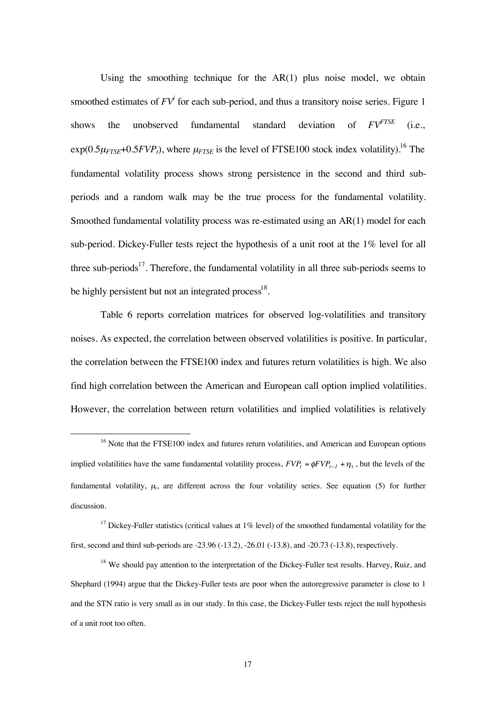Using the smoothing technique for the  $AR(1)$  plus noise model, we obtain smoothed estimates of  $FV^i$  for each sub-period, and thus a transitory noise series. Figure 1 shows the unobserved fundamental standard deviation of *FVFTSE* (i.e.,  $\exp(0.5\mu_{FTSE}+0.5FVP_t)$ , where  $\mu_{FTSE}$  is the level of FTSE100 stock index volatility).<sup>16</sup> The fundamental volatility process shows strong persistence in the second and third subperiods and a random walk may be the true process for the fundamental volatility. Smoothed fundamental volatility process was re-estimated using an AR(1) model for each sub-period. Dickey-Fuller tests reject the hypothesis of a unit root at the 1% level for all three sub-periods<sup>17</sup>. Therefore, the fundamental volatility in all three sub-periods seems to be highly persistent but not an integrated process<sup>18</sup>.

Table 6 reports correlation matrices for observed log-volatilities and transitory noises. As expected, the correlation between observed volatilities is positive. In particular, the correlation between the FTSE100 index and futures return volatilities is high. We also find high correlation between the American and European call option implied volatilities. However, the correlation between return volatilities and implied volatilities is relatively

<sup>17</sup> Dickey-Fuller statistics (critical values at  $1\%$  level) of the smoothed fundamental volatility for the first, second and third sub-periods are -23.96 (-13.2), -26.01 (-13.8), and -20.73 (-13.8), respectively.

<sup>&</sup>lt;sup>16</sup> Note that the FTSE100 index and futures return volatilities, and American and European options implied volatilities have the same fundamental volatility process,  $FVP_t = \phi FVP_{t-1} + \eta_t$ , but the levels of the fundamental volatility,  $\mu_i$ , are different across the four volatility series. See equation (5) for further discussion.

<sup>&</sup>lt;sup>18</sup> We should pay attention to the interpretation of the Dickey-Fuller test results. Harvey, Ruiz, and Shephard (1994) argue that the Dickey-Fuller tests are poor when the autoregressive parameter is close to 1 and the STN ratio is very small as in our study. In this case, the Dickey-Fuller tests reject the null hypothesis of a unit root too often.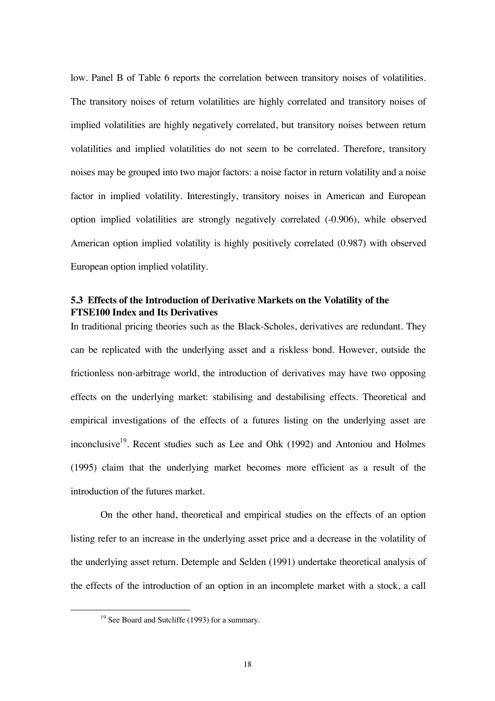low. Panel B of Table 6 reports the correlation between transitory noises of volatilities. The transitory noises of return volatilities are highly correlated and transitory noises of implied volatilities are highly negatively correlated, but transitory noises between return volatilities and implied volatilities do not seem to be correlated. Therefore, transitory noises may be grouped into two major factors: a noise factor in return volatility and a noise factor in implied volatility. Interestingly, transitory noises in American and European option implied volatilities are strongly negatively correlated (-0.906), while observed American option implied volatility is highly positively correlated (0.987) with observed European option implied volatility.

### **5.3 Effects of the Introduction of Derivative Markets on the Volatility of the FTSE100 Index and Its Derivatives**

In traditional pricing theories such as the Black-Scholes, derivatives are redundant. They can be replicated with the underlying asset and a riskless bond. However, outside the frictionless non-arbitrage world, the introduction of derivatives may have two opposing effects on the underlying market: stabilising and destabilising effects. Theoretical and empirical investigations of the effects of a futures listing on the underlying asset are inconclusive<sup>19</sup>. Recent studies such as Lee and Ohk (1992) and Antoniou and Holmes (1995) claim that the underlying market becomes more efficient as a result of the introduction of the futures market.

On the other hand, theoretical and empirical studies on the effects of an option listing refer to an increase in the underlying asset price and a decrease in the volatility of the underlying asset return. Detemple and Selden (1991) undertake theoretical analysis of the effects of the introduction of an option in an incomplete market with a stock, a call

<sup>&</sup>lt;sup>19</sup> See Board and Sutcliffe (1993) for a summary.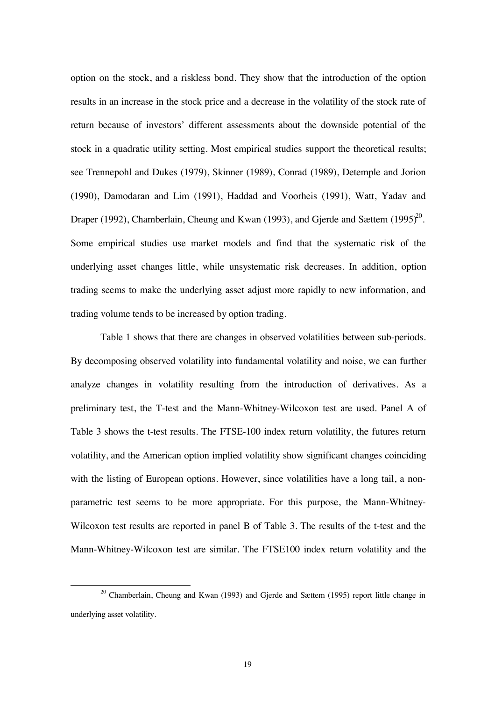option on the stock, and a riskless bond. They show that the introduction of the option results in an increase in the stock price and a decrease in the volatility of the stock rate of return because of investors' different assessments about the downside potential of the stock in a quadratic utility setting. Most empirical studies support the theoretical results; see Trennepohl and Dukes (1979), Skinner (1989), Conrad (1989), Detemple and Jorion (1990), Damodaran and Lim (1991), Haddad and Voorheis (1991), Watt, Yadav and Draper (1992), Chamberlain, Cheung and Kwan (1993), and Gjerde and Sættem (1995)<sup>20</sup>. Some empirical studies use market models and find that the systematic risk of the underlying asset changes little, while unsystematic risk decreases. In addition, option trading seems to make the underlying asset adjust more rapidly to new information, and trading volume tends to be increased by option trading.

Table 1 shows that there are changes in observed volatilities between sub-periods. By decomposing observed volatility into fundamental volatility and noise, we can further analyze changes in volatility resulting from the introduction of derivatives. As a preliminary test, the T-test and the Mann-Whitney-Wilcoxon test are used. Panel A of Table 3 shows the t-test results. The FTSE-100 index return volatility, the futures return volatility, and the American option implied volatility show significant changes coinciding with the listing of European options. However, since volatilities have a long tail, a nonparametric test seems to be more appropriate. For this purpose, the Mann-Whitney-Wilcoxon test results are reported in panel B of Table 3. The results of the t-test and the Mann-Whitney-Wilcoxon test are similar. The FTSE100 index return volatility and the

<sup>&</sup>lt;sup>20</sup> Chamberlain, Cheung and Kwan (1993) and Gjerde and Sættem (1995) report little change in underlying asset volatility.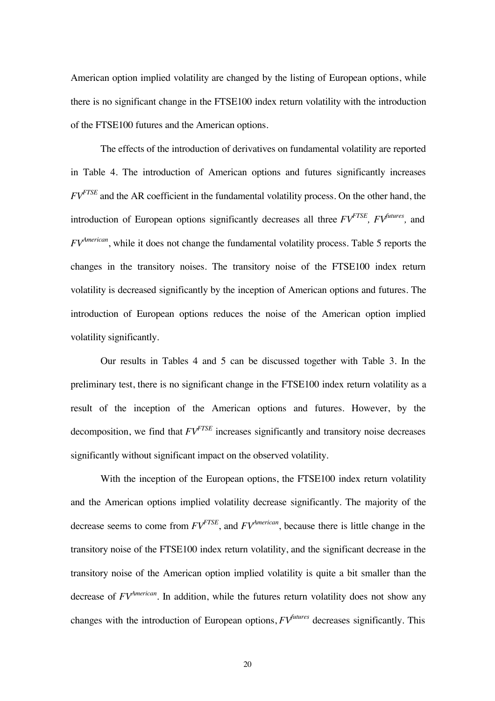American option implied volatility are changed by the listing of European options, while there is no significant change in the FTSE100 index return volatility with the introduction of the FTSE100 futures and the American options.

The effects of the introduction of derivatives on fundamental volatility are reported in Table 4. The introduction of American options and futures significantly increases *FVFTSE* and the AR coefficient in the fundamental volatility process. On the other hand, the introduction of European options significantly decreases all three  $FV^{FTSE}$ ,  $FV^{futures}$ , and *FVAmerican*, while it does not change the fundamental volatility process. Table 5 reports the changes in the transitory noises. The transitory noise of the FTSE100 index return volatility is decreased significantly by the inception of American options and futures. The introduction of European options reduces the noise of the American option implied volatility significantly.

Our results in Tables 4 and 5 can be discussed together with Table 3. In the preliminary test, there is no significant change in the FTSE100 index return volatility as a result of the inception of the American options and futures. However, by the decomposition, we find that  $FV^{FTE}$  increases significantly and transitory noise decreases significantly without significant impact on the observed volatility.

With the inception of the European options, the FTSE100 index return volatility and the American options implied volatility decrease significantly. The majority of the decrease seems to come from  $FV^{FTSE}$ , and  $FV^{American}$ , because there is little change in the transitory noise of the FTSE100 index return volatility, and the significant decrease in the transitory noise of the American option implied volatility is quite a bit smaller than the decrease of *FVAmerican*. In addition, while the futures return volatility does not show any changes with the introduction of European options, *FVfutures* decreases significantly. This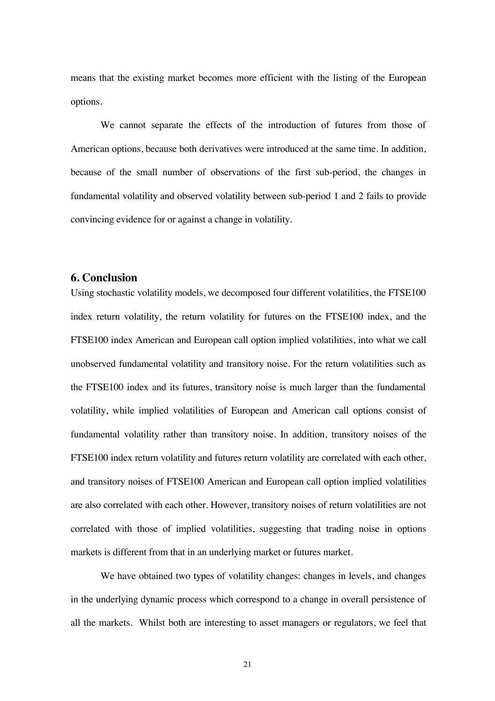means that the existing market becomes more efficient with the listing of the European options.

We cannot separate the effects of the introduction of futures from those of American options, because both derivatives were introduced at the same time. In addition, because of the small number of observations of the first sub-period, the changes in fundamental volatility and observed volatility between sub-period 1 and 2 fails to provide convincing evidence for or against a change in volatility.

# **6. Conclusion**

Using stochastic volatility models, we decomposed four different volatilities, the FTSE100 index return volatility, the return volatility for futures on the FTSE100 index, and the FTSE100 index American and European call option implied volatilities, into what we call unobserved fundamental volatility and transitory noise. For the return volatilities such as the FTSE100 index and its futures, transitory noise is much larger than the fundamental volatility, while implied volatilities of European and American call options consist of fundamental volatility rather than transitory noise. In addition, transitory noises of the FTSE100 index return volatility and futures return volatility are correlated with each other, and transitory noises of FTSE100 American and European call option implied volatilities are also correlated with each other. However, transitory noises of return volatilities are not correlated with those of implied volatilities, suggesting that trading noise in options markets is different from that in an underlying market or futures market.

We have obtained two types of volatility changes: changes in levels, and changes in the underlying dynamic process which correspond to a change in overall persistence of all the markets. Whilst both are interesting to asset managers or regulators, we feel that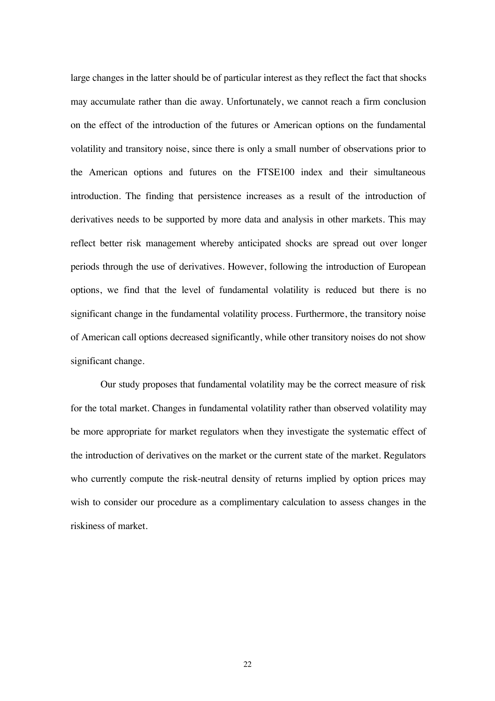large changes in the latter should be of particular interest as they reflect the fact that shocks may accumulate rather than die away. Unfortunately, we cannot reach a firm conclusion on the effect of the introduction of the futures or American options on the fundamental volatility and transitory noise, since there is only a small number of observations prior to the American options and futures on the FTSE100 index and their simultaneous introduction. The finding that persistence increases as a result of the introduction of derivatives needs to be supported by more data and analysis in other markets. This may reflect better risk management whereby anticipated shocks are spread out over longer periods through the use of derivatives. However, following the introduction of European options, we find that the level of fundamental volatility is reduced but there is no significant change in the fundamental volatility process. Furthermore, the transitory noise of American call options decreased significantly, while other transitory noises do not show significant change.

Our study proposes that fundamental volatility may be the correct measure of risk for the total market. Changes in fundamental volatility rather than observed volatility may be more appropriate for market regulators when they investigate the systematic effect of the introduction of derivatives on the market or the current state of the market. Regulators who currently compute the risk-neutral density of returns implied by option prices may wish to consider our procedure as a complimentary calculation to assess changes in the riskiness of market.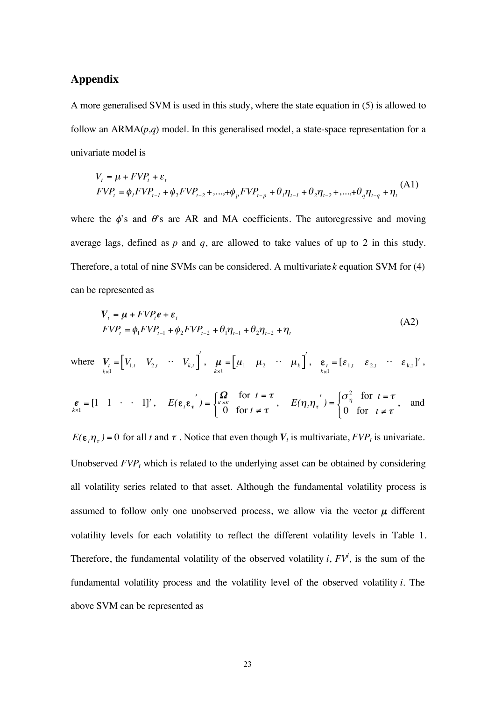# **Appendix**

A more generalised SVM is used in this study, where the state equation in (5) is allowed to follow an ARMA(*p,q*) model. In this generalised model, a state-space representation for a univariate model is

$$
V_{t} = \mu + FVP_{t} + \varepsilon_{t}
$$
  
\n
$$
FVP_{t} = \phi_{t} FVP_{t-1} + \phi_{2} FVP_{t-2} + \dots + \phi_{p} FVP_{t-p} + \theta_{t} \eta_{t-1} + \theta_{2} \eta_{t-2} + \dots + \theta_{q} \eta_{t-q} + \eta_{t}
$$
 (A1)

where the  $\phi$ 's and  $\theta$ 's are AR and MA coefficients. The autoregressive and moving average lags, defined as *p* and *q*, are allowed to take values of up to 2 in this study. Therefore, a total of nine SVMs can be considered. A multivariate *k* equation SVM for (4) can be represented as

$$
V_t = \mu + FVP_t e + \varepsilon_t
$$
  
\n
$$
FVP_t = \phi_1 FVP_{t-1} + \phi_2 FVP_{t-2} + \theta_1 \eta_{t-1} + \theta_2 \eta_{t-2} + \eta_t
$$
\n(A2)

where 
$$
\mathbf{V}_{t} = \begin{bmatrix} V_{1,t} & V_{2,t} & \cdots & V_{k,t} \end{bmatrix}
$$
,  $\mathbf{\mu} = \begin{bmatrix} \mu_1 & \mu_2 & \cdots & \mu_k \end{bmatrix}$ ,  $\mathbf{\varepsilon}_{t} = \begin{bmatrix} \varepsilon_{1,t} & \varepsilon_{2,t} & \cdots & \varepsilon_{k,t} \end{bmatrix}$ 

$$
e_{k=1} = [1 \quad 1 \quad \cdot \quad 1]', \quad E(\varepsilon_{t} \varepsilon_{t}) = \begin{cases} \Omega & \text{for } t = \tau \\ 0 & \text{for } t \neq \tau \end{cases}, \quad E(\eta_{t} \eta_{t}) = \begin{cases} \sigma_{\eta}^{2} & \text{for } t = \tau \\ 0 & \text{for } t \neq \tau \end{cases}, \text{ and}
$$

 $E(\varepsilon_t \eta_\tau) = 0$  for all t and  $\tau$ . Notice that even though  $V_t$  is multivariate,  $FVP_t$  is univariate. Unobserved  $FVP<sub>t</sub>$  which is related to the underlying asset can be obtained by considering all volatility series related to that asset. Although the fundamental volatility process is assumed to follow only one unobserved process, we allow via the vector  $\mu$  different volatility levels for each volatility to reflect the different volatility levels in Table 1. Therefore, the fundamental volatility of the observed volatility  $i$ ,  $FV^i$ , is the sum of the fundamental volatility process and the volatility level of the observed volatility *i*. The above SVM can be represented as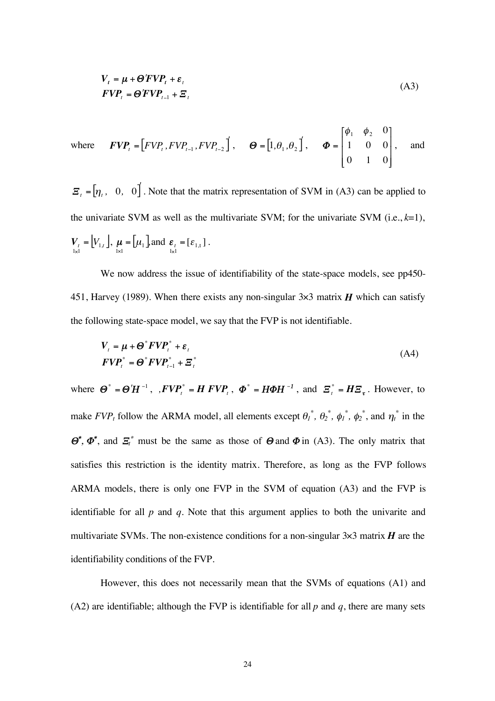$$
V_t = \mu + \Theta' F V P_t + \varepsilon_t
$$
  
 
$$
F V P_t = \Theta' F V P_{t-1} + \Xi_t
$$
 (A3)

where 
$$
\mathbf{FVP}_t = \begin{bmatrix} FVP_t, FVP_{t-1}, FVP_{t-2} \end{bmatrix}, \quad \mathbf{\Theta} = \begin{bmatrix} 1, \theta_1, \theta_2 \end{bmatrix}, \quad \mathbf{\Phi} = \begin{bmatrix} \phi_1 & \phi_2 & 0 \\ 1 & 0 & 0 \\ 0 & 1 & 0 \end{bmatrix}, \text{ and}
$$

 $\mathbf{E}_{t} = \begin{bmatrix} \eta_{t}, & 0, & 0 \end{bmatrix}$ . Note that the matrix representation of SVM in (A3) can be applied to the univariate SVM as well as the multivariate SVM; for the univariate SVM (i.e.,  $k=1$ ),  $V_t$  =  $V_{1,t}$  $\mathbf{V}_{\substack{t \\ 1 \times 1}} = [V_{1,t}]$ ,  $\mathbf{\mu} = [\mu_1]$  $\boldsymbol{\mu} = [\mu_1], \text{and } \boldsymbol{\varepsilon}_t = [\varepsilon_{1,t}]$  $\boldsymbol{\varepsilon}_{t} = [\varepsilon_{1,t}]$ .

We now address the issue of identifiability of the state-space models, see pp450- 451, Harvey (1989). When there exists any non-singular  $3 \times 3$  matrix *H* which can satisfy the following state-space model, we say that the FVP is not identifiable.

$$
V_t = \mu + \Theta^* F V P_t^* + \varepsilon_t
$$
  
\n
$$
F V P_t^* = \Theta^* F V P_{t-1}^* + \Xi_t^*
$$
\n(A4)

where  $\boldsymbol{\Theta}^* = \boldsymbol{\Theta}' \boldsymbol{H}^{-1}$ ,  $FVP_t^* = H FVP_t$ ,  $\boldsymbol{\Phi}^* = H \boldsymbol{\Phi} H^{-1}$ , and  $\boldsymbol{\Xi}_t^* = H \boldsymbol{\Xi}_t$ . However, to make  $FVP_t$  follow the ARMA model, all elements except  $\theta_l^*$ ,  $\theta_2^*$ ,  $\phi_l^*$ ,  $\phi_2^*$ , and  $\eta_t^*$  in the  $\mathbf{\Theta}^*, \mathbf{\Phi}^*,$  and  $\mathbf{\Xi}_t^*$  must be the same as those of  $\mathbf{\Theta}$  and  $\mathbf{\Phi}$  in (A3). The only matrix that satisfies this restriction is the identity matrix. Therefore, as long as the FVP follows ARMA models, there is only one FVP in the SVM of equation (A3) and the FVP is identifiable for all *p* and *q*. Note that this argument applies to both the univarite and multivariate SVMs. The non-existence conditions for a non-singular  $3 \times 3$  matrix *H* are the identifiability conditions of the FVP.

However, this does not necessarily mean that the SVMs of equations (A1) and (A2) are identifiable; although the FVP is identifiable for all  $p$  and  $q$ , there are many sets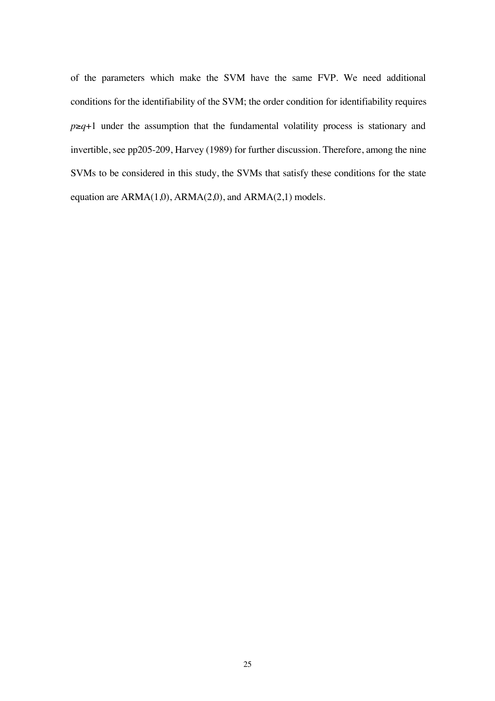of the parameters which make the SVM have the same FVP. We need additional conditions for the identifiability of the SVM; the order condition for identifiability requires  $p \geq q+1$  under the assumption that the fundamental volatility process is stationary and invertible, see pp205-209, Harvey (1989) for further discussion. Therefore, among the nine SVMs to be considered in this study, the SVMs that satisfy these conditions for the state equation are ARMA(1,0), ARMA(2,0), and ARMA(2,1) models.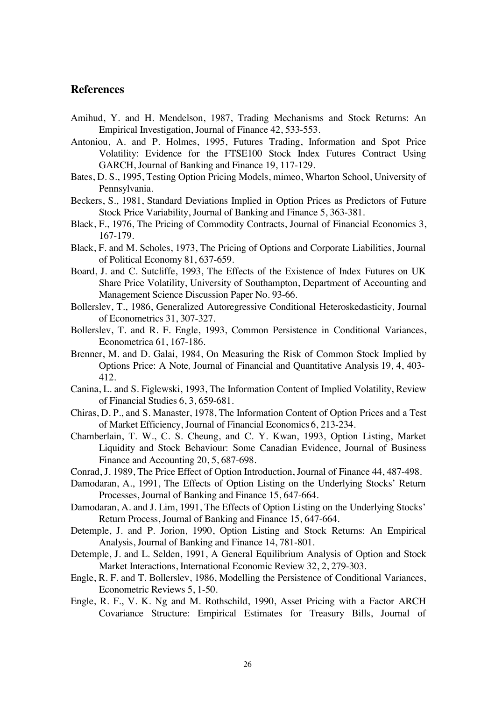# **References**

- Amihud, Y. and H. Mendelson, 1987, Trading Mechanisms and Stock Returns: An Empirical Investigation, Journal of Finance 42, 533-553.
- Antoniou, A. and P. Holmes, 1995, Futures Trading, Information and Spot Price Volatility: Evidence for the FTSE100 Stock Index Futures Contract Using GARCH, Journal of Banking and Finance 19, 117-129.
- Bates, D. S., 1995, Testing Option Pricing Models, mimeo, Wharton School, University of Pennsylvania.
- Beckers, S., 1981, Standard Deviations Implied in Option Prices as Predictors of Future Stock Price Variability, Journal of Banking and Finance 5, 363-381.
- Black, F., 1976, The Pricing of Commodity Contracts, Journal of Financial Economics 3, 167-179.
- Black, F. and M. Scholes, 1973, The Pricing of Options and Corporate Liabilities, Journal of Political Economy 81, 637-659.
- Board, J. and C. Sutcliffe, 1993, The Effects of the Existence of Index Futures on UK Share Price Volatility, University of Southampton, Department of Accounting and Management Science Discussion Paper No. 93-66.
- Bollerslev, T., 1986, Generalized Autoregressive Conditional Heteroskedasticity, Journal of Econometrics 31, 307-327.
- Bollerslev, T. and R. F. Engle, 1993, Common Persistence in Conditional Variances, Econometrica 61, 167-186.
- Brenner, M. and D. Galai, 1984, On Measuring the Risk of Common Stock Implied by Options Price: A Note*,* Journal of Financial and Quantitative Analysis 19, 4, 403- 412.
- Canina, L. and S. Figlewski, 1993, The Information Content of Implied Volatility, Review of Financial Studies 6, 3, 659-681.
- Chiras, D. P., and S. Manaster, 1978, The Information Content of Option Prices and a Test of Market Efficiency, Journal of Financial Economics 6, 213-234.
- Chamberlain, T. W., C. S. Cheung, and C. Y. Kwan, 1993, Option Listing, Market Liquidity and Stock Behaviour: Some Canadian Evidence, Journal of Business Finance and Accounting 20, 5, 687-698.
- Conrad, J. 1989, The Price Effect of Option Introduction, Journal of Finance 44, 487-498.
- Damodaran, A., 1991, The Effects of Option Listing on the Underlying Stocks' Return Processes, Journal of Banking and Finance 15, 647-664.
- Damodaran, A. and J. Lim, 1991, The Effects of Option Listing on the Underlying Stocks' Return Process, Journal of Banking and Finance 15, 647-664.
- Detemple, J. and P. Jorion, 1990, Option Listing and Stock Returns: An Empirical Analysis, Journal of Banking and Finance 14, 781-801.
- Detemple, J. and L. Selden, 1991, A General Equilibrium Analysis of Option and Stock Market Interactions, International Economic Review 32, 2, 279-303.
- Engle, R. F. and T. Bollerslev, 1986, Modelling the Persistence of Conditional Variances, Econometric Reviews 5, 1-50.
- Engle, R. F., V. K. Ng and M. Rothschild, 1990, Asset Pricing with a Factor ARCH Covariance Structure: Empirical Estimates for Treasury Bills, Journal of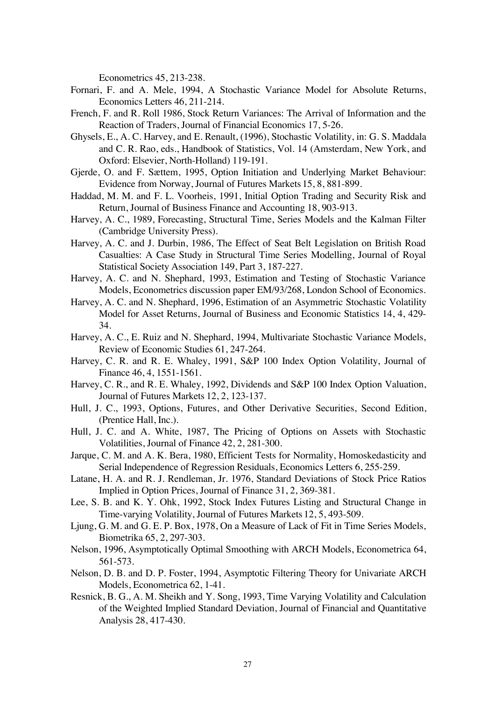Econometrics 45, 213-238.

- Fornari, F. and A. Mele, 1994, A Stochastic Variance Model for Absolute Returns, Economics Letters 46, 211-214.
- French, F. and R. Roll 1986, Stock Return Variances: The Arrival of Information and the Reaction of Traders, Journal of Financial Economics 17, 5-26.
- Ghysels, E., A. C. Harvey, and E. Renault, (1996), Stochastic Volatility, in: G. S. Maddala and C. R. Rao, eds., Handbook of Statistics, Vol. 14 (Amsterdam, New York, and Oxford: Elsevier, North-Holland) 119-191.
- Gjerde, O. and F. Sættem, 1995, Option Initiation and Underlying Market Behaviour: Evidence from Norway, Journal of Futures Markets 15, 8, 881-899.
- Haddad, M. M. and F. L. Voorheis, 1991, Initial Option Trading and Security Risk and Return, Journal of Business Finance and Accounting 18, 903-913.
- Harvey, A. C., 1989, Forecasting, Structural Time, Series Models and the Kalman Filter (Cambridge University Press).
- Harvey, A. C. and J. Durbin, 1986, The Effect of Seat Belt Legislation on British Road Casualties: A Case Study in Structural Time Series Modelling, Journal of Royal Statistical Society Association 149, Part 3, 187-227.
- Harvey, A. C. and N. Shephard, 1993, Estimation and Testing of Stochastic Variance Models, Econometrics discussion paper EM/93/268, London School of Economics.
- Harvey, A. C. and N. Shephard, 1996, Estimation of an Asymmetric Stochastic Volatility Model for Asset Returns, Journal of Business and Economic Statistics 14, 4, 429- 34.
- Harvey, A. C., E. Ruiz and N. Shephard, 1994, Multivariate Stochastic Variance Models, Review of Economic Studies 61, 247-264.
- Harvey, C. R. and R. E. Whaley, 1991, S&P 100 Index Option Volatility, Journal of Finance 46, 4, 1551-1561.
- Harvey, C. R., and R. E. Whaley, 1992, Dividends and S&P 100 Index Option Valuation, Journal of Futures Markets 12, 2, 123-137.
- Hull, J. C., 1993, Options, Futures, and Other Derivative Securities, Second Edition, (Prentice Hall, Inc.).
- Hull, J. C. and A. White, 1987, The Pricing of Options on Assets with Stochastic Volatilities, Journal of Finance 42, 2, 281-300.
- Jarque, C. M. and A. K. Bera, 1980, Efficient Tests for Normality, Homoskedasticity and Serial Independence of Regression Residuals, Economics Letters 6, 255-259.
- Latane, H. A. and R. J. Rendleman, Jr. 1976, Standard Deviations of Stock Price Ratios Implied in Option Prices, Journal of Finance 31, 2, 369-381.
- Lee, S. B. and K. Y. Ohk, 1992, Stock Index Futures Listing and Structural Change in Time-varying Volatility, Journal of Futures Markets 12, 5, 493-509.
- Ljung, G. M. and G. E. P. Box, 1978, On a Measure of Lack of Fit in Time Series Models, Biometrika 65, 2, 297-303.
- Nelson, 1996, Asymptotically Optimal Smoothing with ARCH Models, Econometrica 64, 561-573.
- Nelson, D. B. and D. P. Foster, 1994, Asymptotic Filtering Theory for Univariate ARCH Models, Econometrica 62, 1-41.
- Resnick, B. G., A. M. Sheikh and Y. Song, 1993, Time Varying Volatility and Calculation of the Weighted Implied Standard Deviation, Journal of Financial and Quantitative Analysis 28, 417-430.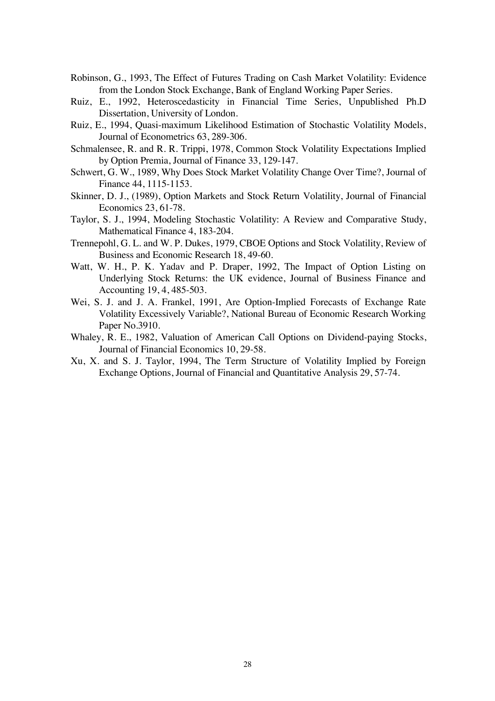- Robinson, G., 1993, The Effect of Futures Trading on Cash Market Volatility: Evidence from the London Stock Exchange, Bank of England Working Paper Series.
- Ruiz, E., 1992, Heteroscedasticity in Financial Time Series, Unpublished Ph.D Dissertation, University of London.
- Ruiz, E., 1994, Quasi-maximum Likelihood Estimation of Stochastic Volatility Models, Journal of Econometrics 63, 289-306.
- Schmalensee, R. and R. R. Trippi, 1978, Common Stock Volatility Expectations Implied by Option Premia, Journal of Finance 33, 129-147.
- Schwert, G. W., 1989, Why Does Stock Market Volatility Change Over Time?, Journal of Finance 44, 1115-1153.
- Skinner, D. J., (1989), Option Markets and Stock Return Volatility, Journal of Financial Economics 23, 61-78.
- Taylor, S. J., 1994, Modeling Stochastic Volatility: A Review and Comparative Study, Mathematical Finance 4, 183-204.
- Trennepohl, G. L. and W. P. Dukes, 1979, CBOE Options and Stock Volatility, Review of Business and Economic Research 18, 49-60.
- Watt, W. H., P. K. Yadav and P. Draper, 1992, The Impact of Option Listing on Underlying Stock Returns: the UK evidence, Journal of Business Finance and Accounting 19, 4, 485-503.
- Wei, S. J. and J. A. Frankel, 1991, Are Option-Implied Forecasts of Exchange Rate Volatility Excessively Variable?, National Bureau of Economic Research Working Paper No.3910.
- Whaley, R. E., 1982, Valuation of American Call Options on Dividend-paying Stocks, Journal of Financial Economics 10, 29-58.
- Xu, X. and S. J. Taylor, 1994, The Term Structure of Volatility Implied by Foreign Exchange Options, Journal of Financial and Quantitative Analysis 29, 57-74.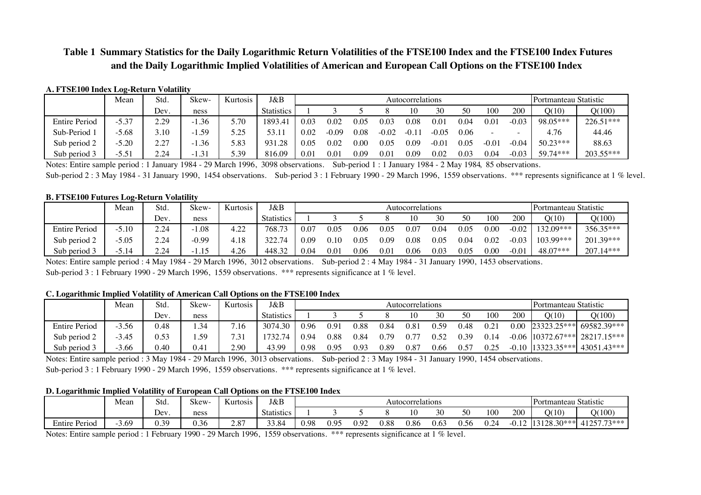# **Table 1 Summary Statistics for the Daily Logarithmic Return Volatilities of the FTSE100 Index and the FTSE100 Index Futures and the Daily Logarithmic Implied Volatilities of American and European Call Options on the FTSE100 Index**

#### **A. FTSE100 Index Log-Return Volatility**

|                      | Mean    | Std.      | Skew- | Kurtosis     | J&B               |      | Autocorrelations |          |       |           |         |      |               |       | Portmanteau Statistic |           |
|----------------------|---------|-----------|-------|--------------|-------------------|------|------------------|----------|-------|-----------|---------|------|---------------|-------|-----------------------|-----------|
|                      |         | Dev.      | ness  |              | <b>Statistics</b> |      |                  |          |       | 10        | 30      | 50   | 100           | 200   | O(10)                 | Q(100)    |
| <b>Entire Period</b> | $-5.37$ | 2.29      | . .36 | 5.70         | 1893.4            | 0.03 | 0.07             | $0.05\,$ | 0.03  | $_{0.08}$ | 0.0     | 0.04 | $0.01\,$      | -0.03 | 98.05***              | 226.51*** |
| Sub-Period 1         | $-5.68$ | 3.10      | .59   | ς ης<br>۔∠.د | 53.11             | 0.02 | $-0.09$          | 0.08     | -0.02 |           | $-0.05$ | 0.06 |               |       | 4.76                  | 44.46     |
| Sub period 2         | $-5.20$ | 27<br>2.L | .36   | 5.83         | 931.28            | 0.05 | 0.02             | $0.00\,$ | 0.05  | 0.09      | $-0.01$ | 0.05 | $0.0^{\circ}$ | 0.04  | $50.23***$            | 88.63     |
| Sub period 3         | $-5.51$ | 2.24      | 1.31  | 5.39         | 816.09            | 0.01 | $0.0\,$          | 0.09     | 0.01  | 0.09      | 0.02    | 0.03 | 9.04          | 0.03  | 59.74***              | 203.55*** |

Notes: Entire sample period : 1 January 1984 - 29 March 1996, 3098 observations. Sub-period 1 : 1 January 1984 - 2 May 1984, 85 observations.

Sub-period 2 : 3 May 1984 - 31 January 1990, 1454 observations. Sub-period 3 : 1 February 1990 - 29 March 1996, 1559 observations. \*\*\* represents significance at 1 % level.

#### **B. FTSE100 Futures Log-Return Volatility**

|                           | Mean        | Std. | Skew-   | Kurtosis | J&B               |      | Autocorrelations |           |      |           |          |      |            |         | Portmanteau Statistic |             |
|---------------------------|-------------|------|---------|----------|-------------------|------|------------------|-----------|------|-----------|----------|------|------------|---------|-----------------------|-------------|
|                           |             | Dev. | ness    |          | <b>Statistics</b> |      |                  |           |      | 10        | 30       | 50   | 100        | 200     | Q(10)                 | Q(100)      |
| <b>Entire Period</b>      | $-5.10$     | 2.24 | 1.08    | 4.22     | 768.73            | 0.07 | $0.05\,$         | 9.06      | 0.05 | 0.07      | 0.04     | 0.05 | 0.00       | $-0.02$ | 132.09***             | 356.35***   |
| $\bigcap$<br>Sub period 2 | $-5.05$     | 2.24 | $-0.99$ | 4.18     | 322.74            | 0.09 | $\rm 0.10$       | $_{0.05}$ | 0.09 | $_{0.08}$ | $0.05\,$ | 0.04 | $\rm 0.02$ | $-0.03$ | $103.99***$           | 201.39***   |
| $\sim$<br>Sub period 3    | 5.14<br>- 1 | 2.24 | -1.15   | 4.26     | 448.32            | 0.04 | 0.01             | 0.06      | 0.01 | 0.06      | 0.03     | 0.05 | 0.00       | 0.0     | 48.07***              | $207.14***$ |

Notes: Entire sample period : 4 May 1984 - 29 March 1996, 3012 observations. Sub-period 2 : 4 May 1984 - 31 January 1990, 1453 observations. Sub-period 3 : 1 February 1990 - 29 March 1996, 1559 observations. \*\*\* represents significance at 1 % level.

#### **C. Logarithmic Implied Volatility of American Call Options on the FTSE100 Index**

|                        | Mean    | Std. | $^{\sim}$<br>Skew- | Kurtosis | J&B               |      | Autocorrelations |      |      |        |      |      |     |         | Portmanteau Statistic |                                          |
|------------------------|---------|------|--------------------|----------|-------------------|------|------------------|------|------|--------|------|------|-----|---------|-----------------------|------------------------------------------|
|                        |         | Dev. | ness               |          | <b>Statistics</b> |      |                  |      |      |        | 30   | 50   | 100 | 200     | Q(10)                 | Q(100)                                   |
| <b>Entire Period</b>   | $-3.56$ | 0.48 | .34                | 7.16     | 3074.30           | 0.96 | 0.91             | 0.88 | 0.84 | 81.,   | 0.59 | 0.48 |     | 0.00    | $23323.25***$         | $169582.39***$                           |
| Sub period 2           | 3.45    | 0.53 | . .59              | 7.31     | 1732.74           | 0.94 | $\rm 0.88$       | 0.84 | 0.79 |        | 0.52 | 0.39 |     |         |                       | $-0.06$   10372.67***   28217.15***      |
| $\sim$<br>Sub period 3 | $-3.66$ | 0.40 | 0.41               | 2.90     | 43.99             | 0.98 | 0.95             | 0.93 | 0.89 | $0.8-$ | 0.66 | 0.57 |     | $-0.10$ |                       | $\left  \right $ 13323.35*** 43051.43*** |

Notes: Entire sample period : 3 May 1984 - 29 March 1996, 3013 observations. Sub-period 2 : 3 May 1984 - 31 January 1990, 1454 observations. Sub-period 3 : 1 February 1990 - 29 March 1996, 1559 observations. \*\*\* represents significance at 1 % level.

#### **D. Logarithmic Implied Volatility of European Call Options on the FTSE100 Index**

|                      | Mean | Std.           | $\sim$<br>Skew- | Kurtosis | J&B               |                   | Autocorrelations |      |      |      |      |      | Portmanteau Statistic                                |        |                   |                                 |
|----------------------|------|----------------|-----------------|----------|-------------------|-------------------|------------------|------|------|------|------|------|------------------------------------------------------|--------|-------------------|---------------------------------|
|                      |      | $\sim$<br>Dev. | ness            |          | <b>Statistics</b> |                   |                  |      |      |      | 30   | 50   | 100                                                  | 200    | O(10)             | Q(100)                          |
| <b>Entire Period</b> | 3.69 | 30<br>∨.       | 0.36            | 2.87     | 33.84             | 0.98 <sub>1</sub> | ገ ዐ<<br>しょン      | 0.92 | 0.88 | 0.86 | 0.63 | 0.56 | $\overline{\phantom{a}}$<br>$\overline{\phantom{0}}$ | $\sim$ | 128.3C<br>$20***$ | $1125773$ ***<br>∸<br>, , , , , |

Notes: Entire sample period : 1 February 1990 - 29 March 1996, 1559 observations. \*\*\* represents significance at 1 % level.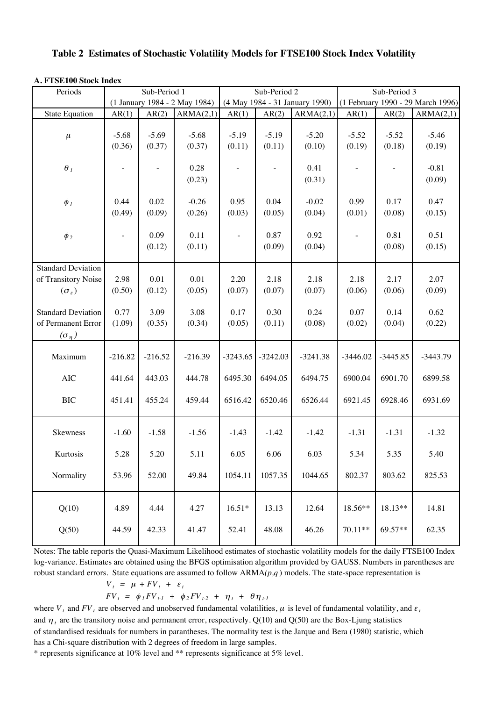### **Table 2 Estimates of Stochastic Volatility Models for FTSE100 Stock Index Volatility**

|  | A. FTSE100 Stock Index |
|--|------------------------|
|--|------------------------|

| Periods                                                                      | Sub-Period 1      |                   |                               |                          | Sub-Period 2      |                                | Sub-Period 3             |                   |                                   |  |
|------------------------------------------------------------------------------|-------------------|-------------------|-------------------------------|--------------------------|-------------------|--------------------------------|--------------------------|-------------------|-----------------------------------|--|
|                                                                              |                   |                   | (1 January 1984 - 2 May 1984) |                          |                   | (4 May 1984 - 31 January 1990) |                          |                   | (1 February 1990 - 29 March 1996) |  |
| <b>State Equation</b>                                                        | AR(1)             | AR(2)             | ARMA(2,1)                     | AR(1)                    | AR(2)             | ARMA(2,1)                      | AR(1)                    | AR(2)             | ARMA(2,1)                         |  |
| $\mu$                                                                        | $-5.68$<br>(0.36) | $-5.69$<br>(0.37) | $-5.68$<br>(0.37)             | $-5.19$<br>(0.11)        | $-5.19$<br>(0.11) | $-5.20$<br>(0.10)              | $-5.52$<br>(0.19)        | $-5.52$<br>(0.18) | $-5.46$<br>(0.19)                 |  |
| $\theta_{\it 1}$                                                             |                   |                   | 0.28<br>(0.23)                |                          |                   | 0.41<br>(0.31)                 |                          |                   | $-0.81$<br>(0.09)                 |  |
| $\phi$ <sub>1</sub>                                                          | 0.44<br>(0.49)    | 0.02<br>(0.09)    | $-0.26$<br>(0.26)             | 0.95<br>(0.03)           | 0.04<br>(0.05)    | $-0.02$<br>(0.04)              | 0.99<br>(0.01)           | 0.17<br>(0.08)    | 0.47<br>(0.15)                    |  |
| $\phi_2$                                                                     |                   | 0.09<br>(0.12)    | 0.11<br>(0.11)                | $\overline{\phantom{a}}$ | 0.87<br>(0.09)    | 0.92<br>(0.04)                 | $\overline{\phantom{a}}$ | 0.81<br>(0.08)    | 0.51<br>(0.15)                    |  |
| <b>Standard Deviation</b><br>of Transitory Noise<br>$(\sigma_{\varepsilon})$ | 2.98<br>(0.50)    | 0.01<br>(0.12)    | 0.01<br>(0.05)                | 2.20<br>(0.07)           | 2.18<br>(0.07)    | 2.18<br>(0.07)                 | 2.18<br>(0.06)           | 2.17<br>(0.06)    | 2.07<br>(0.09)                    |  |
| <b>Standard Deviation</b><br>of Permanent Error<br>$(\sigma_{\eta})$         | 0.77<br>(1.09)    | 3.09<br>(0.35)    | 3.08<br>(0.34)                | 0.17<br>(0.05)           | 0.30<br>(0.11)    | 0.24<br>(0.08)                 | 0.07<br>(0.02)           | 0.14<br>(0.04)    | 0.62<br>(0.22)                    |  |
| Maximum                                                                      | $-216.82$         | $-216.52$         | $-216.39$                     | $-3243.65$               | $-3242.03$        | $-3241.38$                     | $-3446.02$               | $-3445.85$        | $-3443.79$                        |  |
| <b>AIC</b>                                                                   | 441.64            | 443.03            | 444.78                        | 6495.30                  | 6494.05           | 6494.75                        | 6900.04                  | 6901.70           | 6899.58                           |  |
| <b>BIC</b>                                                                   | 451.41            | 455.24            | 459.44                        | 6516.42                  | 6520.46           | 6526.44                        | 6921.45                  | 6928.46           | 6931.69                           |  |
| Skewness                                                                     | $-1.60$           | $-1.58$           | $-1.56$                       | $-1.43$                  | $-1.42$           | $-1.42$                        | $-1.31$                  | $-1.31$           | $-1.32$                           |  |
| Kurtosis                                                                     | 5.28              | 5.20              | 5.11                          | 6.05                     | 6.06              | 6.03                           | 5.34                     | 5.35              | 5.40                              |  |
| Normality                                                                    | 53.96             | 52.00             | 49.84                         | 1054.11                  | 1057.35           | 1044.65                        | 802.37                   | 803.62            | 825.53                            |  |
| Q(10)                                                                        | 4.89              | 4.44              | 4.27                          | $16.51*$                 | 13.13             | 12.64                          | 18.56**                  | 18.13**           | 14.81                             |  |
| Q(50)                                                                        | 44.59             | 42.33             | 41.47                         | 52.41                    | 48.08             | 46.26                          | 70.11**                  | 69.57**           | 62.35                             |  |

Notes: The table reports the Quasi-Maximum Likelihood estimates of stochastic volatility models for the daily FTSE100 Index log-variance. Estimates are obtained using the BFGS optimisation algorithm provided by GAUSS. Numbers in parentheses are robust standard errors. State equations are assumed to follow ARMA*(p,q* ) models. The state-space representation is

$$
V_t = \mu + FV_t + \varepsilon_t
$$
  
\n
$$
FV_t = \phi_I FV_{t-1} + \phi_2 FV_{t-2} + \eta_t + \theta \eta_{t-1}
$$

where  $V_t$  and  $FV_t$  are observed and unobserved fundamental volatilities,  $\mu$  is level of fundamental volatility, and  $\varepsilon_t$ and  $\eta_t$  are the transitory noise and permanent error, respectively. Q(10) and Q(50) are the Box-Ljung statistics of standardised residuals for numbers in parantheses. The normality test is the Jarque and Bera (1980) statistic, which has a Chi-square distribution with 2 degrees of freedom in large samples.

\* represents significance at 10% level and \*\* represents significance at 5% level.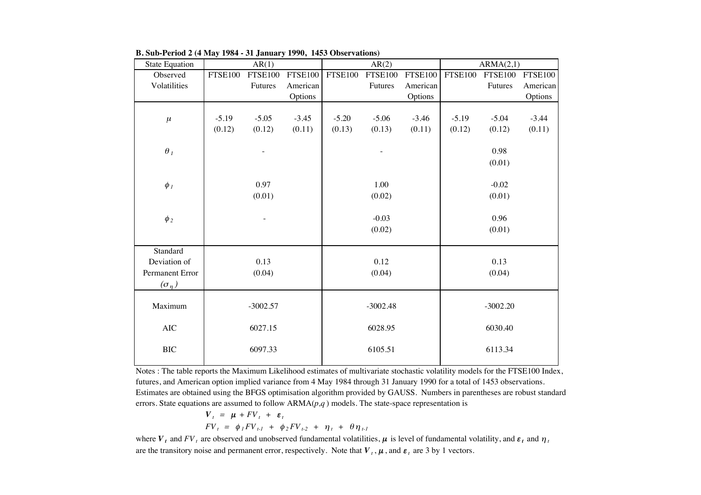| <b>State Equation</b> |                | AR(1)          |                |                | AR(2)          |                |                | ARMA(2,1)      |                |
|-----------------------|----------------|----------------|----------------|----------------|----------------|----------------|----------------|----------------|----------------|
| Observed              | <b>FTSE100</b> | <b>FTSE100</b> | <b>FTSE100</b> | <b>FTSE100</b> | <b>FTSE100</b> | <b>FTSE100</b> | <b>FTSE100</b> | <b>FTSE100</b> | <b>FTSE100</b> |
| Volatilities          |                | Futures        | American       |                | Futures        | American       |                | Futures        | American       |
|                       |                |                | Options        |                |                | Options        |                |                | Options        |
|                       |                |                |                |                |                |                |                |                |                |
| $\mu$                 | $-5.19$        | $-5.05$        | $-3.45$        | $-5.20$        | $-5.06$        | $-3.46$        | $-5.19$        | $-5.04$        | $-3.44$        |
|                       | (0.12)         | (0.12)         | (0.11)         | (0.13)         | (0.13)         | (0.11)         | (0.12)         | (0.12)         | (0.11)         |
|                       |                |                |                |                |                |                |                |                |                |
| $\theta_{\mathit{1}}$ |                |                |                |                |                |                |                | 0.98           |                |
|                       |                |                |                |                |                |                |                | (0.01)         |                |
|                       |                |                |                |                |                |                |                |                |                |
| $\phi_I$              |                | 0.97           |                |                | 1.00           |                |                | $-0.02$        |                |
|                       |                | (0.01)         |                |                | (0.02)         |                |                | (0.01)         |                |
|                       |                |                |                |                |                |                |                |                |                |
| $\phi_2$              |                |                |                |                | $-0.03$        |                |                | 0.96           |                |
|                       |                |                |                |                | (0.02)         |                |                | (0.01)         |                |
| Standard              |                |                |                |                |                |                |                |                |                |
| Deviation of          |                | 0.13           |                |                | 0.12           |                |                | 0.13           |                |
| Permanent Error       |                | (0.04)         |                |                | (0.04)         |                |                | (0.04)         |                |
|                       |                |                |                |                |                |                |                |                |                |
| $(\sigma_{\eta})$     |                |                |                |                |                |                |                |                |                |
| Maximum               |                | $-3002.57$     |                |                | $-3002.48$     |                |                | $-3002.20$     |                |
|                       |                |                |                |                |                |                |                |                |                |
| $\rm AIC$             |                | 6027.15        |                |                | 6028.95        |                |                | 6030.40        |                |
|                       |                |                |                |                |                |                |                |                |                |
| $\rm BIC$             |                | 6097.33        |                |                | 6105.51        |                |                | 6113.34        |                |
|                       |                |                |                |                |                |                |                |                |                |

**B. Sub-Period 2 (4 May 1984 - 31 January 1990, 1453 Observations)**

Notes : The table reports the Maximum Likelihood estimates of multivariate stochastic volatility models for the FTSE100 Index, futures, and American option implied variance from 4 May 1984 through 31 January 1990 for a total of 1453 observations. Estimates are obtained using the BFGS optimisation algorithm provided by GAUSS. Numbers in parentheses are robust standard errors. State equations are assumed to follow ARMA(*p,q* ) models. The state-space representation is

$$
V_t = \mu + FV_t + \varepsilon_t
$$
  
\n
$$
FV_t = \phi_1 FV_{t-1} + \phi_2 FV_{t-2} + \eta_t + \theta \eta_{t-1}
$$

where  $V_t$  and  $FV_t$  are observed and unobserved fundamental volatilities,  $\mu$  is level of fundamental volatility, and  $\epsilon_t$  and  $\eta_t$ are the transitory noise and permanent error, respectively. Note that  $V_t$ ,  $\mu$ , and  $\varepsilon_t$  are 3 by 1 vectors.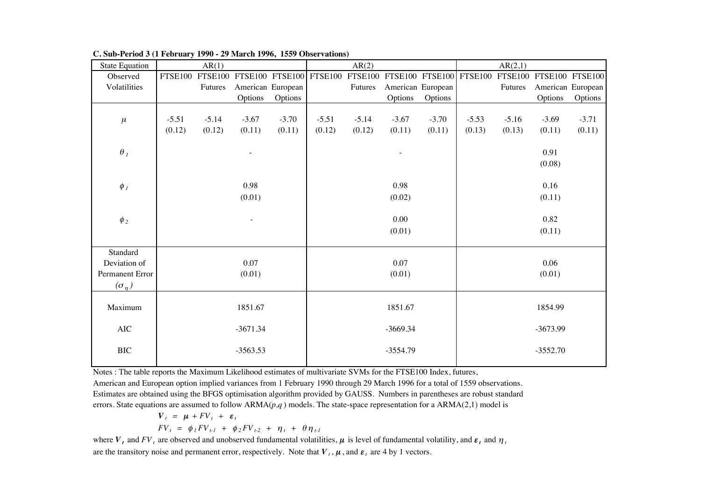| <b>State Equation</b>    |                | AR(1)          |                   |         |         | AR(2)                                           |            |                   |         | AR(2,1)                         |            |                   |
|--------------------------|----------------|----------------|-------------------|---------|---------|-------------------------------------------------|------------|-------------------|---------|---------------------------------|------------|-------------------|
| Observed                 | <b>FTSE100</b> | <b>FTSE100</b> |                   |         |         | FTSE100 FTSE100 FTSE100 FTSE100 FTSE100 FTSE100 |            |                   |         | FTSE100 FTSE100 FTSE100 FTSE100 |            |                   |
| Volatilities             |                | Futures        | American European |         |         | Futures                                         |            | American European |         | Futures                         |            | American European |
|                          |                |                | Options           | Options |         |                                                 | Options    | Options           |         |                                 | Options    | Options           |
|                          |                |                |                   |         |         |                                                 |            |                   |         |                                 |            |                   |
| $\mu$                    | $-5.51$        | $-5.14$        | $-3.67$           | $-3.70$ | $-5.51$ | $-5.14$                                         | $-3.67$    | $-3.70$           | $-5.53$ | $-5.16$                         | $-3.69$    | $-3.71$           |
|                          | (0.12)         | (0.12)         | (0.11)            | (0.11)  | (0.12)  | (0.12)                                          | (0.11)     | (0.11)            | (0.13)  | (0.13)                          | (0.11)     | (0.11)            |
|                          |                |                |                   |         |         |                                                 |            |                   |         |                                 |            |                   |
| $\theta_1$               |                |                |                   |         |         |                                                 |            |                   |         |                                 | 0.91       |                   |
|                          |                |                |                   |         |         |                                                 |            |                   |         |                                 | (0.08)     |                   |
|                          |                |                |                   |         |         |                                                 |            |                   |         |                                 |            |                   |
| $\phi$ <sub>1</sub>      |                |                | 0.98              |         |         |                                                 | 0.98       |                   |         |                                 | 0.16       |                   |
|                          |                |                | (0.01)            |         |         |                                                 | (0.02)     |                   |         |                                 | (0.11)     |                   |
|                          |                |                |                   |         |         |                                                 |            |                   |         |                                 |            |                   |
| $\phi$ <sub>2</sub>      |                |                |                   |         |         |                                                 | 0.00       |                   |         |                                 | 0.82       |                   |
|                          |                |                |                   |         |         |                                                 | (0.01)     |                   |         |                                 | (0.11)     |                   |
|                          |                |                |                   |         |         |                                                 |            |                   |         |                                 |            |                   |
| Standard<br>Deviation of |                |                | 0.07              |         |         |                                                 | 0.07       |                   |         |                                 | 0.06       |                   |
| Permanent Error          |                |                | (0.01)            |         |         |                                                 | (0.01)     |                   |         |                                 | (0.01)     |                   |
|                          |                |                |                   |         |         |                                                 |            |                   |         |                                 |            |                   |
| $(\sigma_{\eta})$        |                |                |                   |         |         |                                                 |            |                   |         |                                 |            |                   |
| Maximum                  |                |                | 1851.67           |         |         |                                                 | 1851.67    |                   |         |                                 | 1854.99    |                   |
|                          |                |                |                   |         |         |                                                 |            |                   |         |                                 |            |                   |
| $\rm AIC$                |                |                | $-3671.34$        |         |         |                                                 | $-3669.34$ |                   |         |                                 | $-3673.99$ |                   |
|                          |                |                |                   |         |         |                                                 |            |                   |         |                                 |            |                   |
| <b>BIC</b>               |                |                | $-3563.53$        |         |         |                                                 | $-3554.79$ |                   |         |                                 | $-3552.70$ |                   |
|                          |                |                |                   |         |         |                                                 |            |                   |         |                                 |            |                   |

**C. Sub-Period 3 (1 February 1990 - 29 March 1996, 1559 Observations)**

Notes : The table reports the Maximum Likelihood estimates of multivariate SVMs for the FTSE100 Index, futures,

American and European option implied variances from 1 February 1990 through 29 March 1996 for a total of 1559 observations. Estimates are obtained using the BFGS optimisation algorithm provided by GAUSS. Numbers in parentheses are robust standard errors. State equations are assumed to follow ARMA(*p,q* ) models. The state-space representation for a ARMA(2,1) model is

$$
V_t = \mu + FV_t + \varepsilon_t
$$
  
\n
$$
FV_t = \phi_1 FV_{t-1} + \phi_2 FV_{t-2} + \eta_t + \theta \eta_{t-1}
$$

where  $V_t$  and  $FV_t$  are observed and unobserved fundamental volatilities,  $\mu$  is level of fundamental volatility, and  $\epsilon_t$  and  $\eta_t$ are the transitory noise and permanent error, respectively. Note that  $V_t$ ,  $\mu$ , and  $\varepsilon_t$  are 4 by 1 vectors.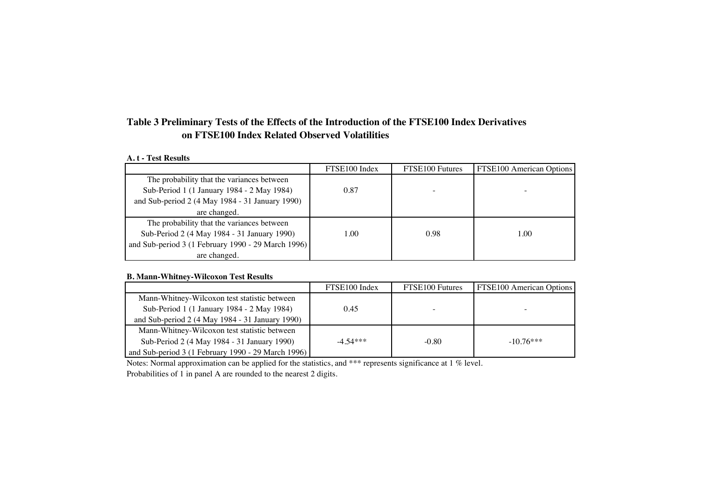# **Table 3 Preliminary Tests of the Effects of the Introduction of the FTSE100 Index Derivatives on FTSE100 Index Related Observed Volatilities**

### **A. t - Test Results**

|                                                    | FTSE100 Index | FTSE100 Futures | <b>FTSE100 American Options</b> |
|----------------------------------------------------|---------------|-----------------|---------------------------------|
| The probability that the variances between         |               |                 |                                 |
| Sub-Period 1 (1 January 1984 - 2 May 1984)         | 0.87          |                 |                                 |
| and Sub-period 2 (4 May 1984 - 31 January 1990)    |               |                 |                                 |
| are changed.                                       |               |                 |                                 |
| The probability that the variances between         |               |                 |                                 |
| Sub-Period 2 (4 May 1984 - 31 January 1990)        | 1.00          | 0.98            | 1.00                            |
| and Sub-period 3 (1 February 1990 - 29 March 1996) |               |                 |                                 |
| are changed.                                       |               |                 |                                 |

### **B. Mann-Whitney-Wilcoxon Test Results**

|                                                    | FTSE100 Index | FTSE100 Futures | FTSE100 American Options |
|----------------------------------------------------|---------------|-----------------|--------------------------|
| Mann-Whitney-Wilcoxon test statistic between       |               |                 |                          |
| Sub-Period 1 (1 January 1984 - 2 May 1984)         | 0.45          |                 |                          |
| and Sub-period 2 (4 May 1984 - 31 January 1990)    |               |                 |                          |
| Mann-Whitney-Wilcoxon test statistic between       |               |                 |                          |
| Sub-Period 2 (4 May 1984 - 31 January 1990)        | $-4.54***$    | $-0.80$         | $-10.76***$              |
| and Sub-period 3 (1 February 1990 - 29 March 1996) |               |                 |                          |

Notes: Normal approximation can be applied for the statistics, and \*\*\* represents significance at 1 % level.

Probabilities of 1 in panel A are rounded to the nearest 2 digits.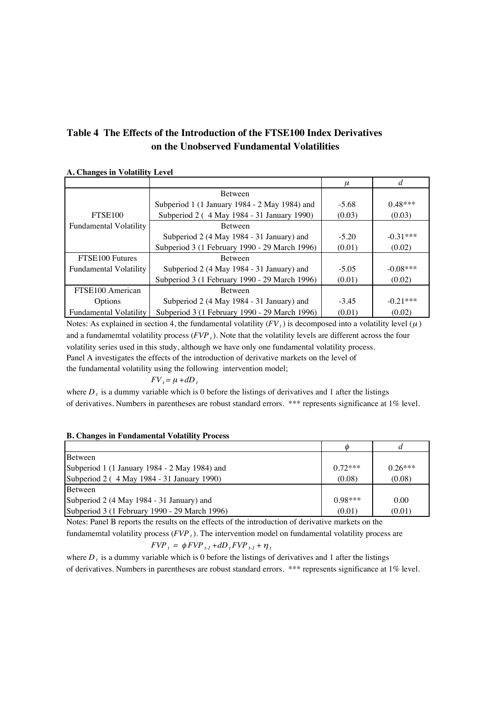# **Table 4 The Effects of the Introduction of the FTSE100 Index Derivatives on the Unobserved Fundamental Volatilities**

### <sup>µ</sup> *d* Between Subperiod 1 (1 January 1984 - 2 May 1984) and  $\begin{bmatrix} -5.68 \\ -5.68 \end{bmatrix}$  0.48\*\*\* FTSE100 Subperiod 2 ( 4 May 1984 - 31 January 1990) (0.03) (0.03) Fundamental Volatility **Between** Subperiod 2 (4 May 1984 - 31 January) and  $\qquad \qquad$  -5.20  $\qquad \qquad$  -0.31\*\*\* Subperiod 3 (1 February 1990 - 29 March 1996) (0.01) (0.02) FTSE100 Futures Between Fundamental Volatility Subperiod 2 (4 May 1984 - 31 January) and  $\qquad$  -5.05 -0.08\*\*\* Subperiod 3 (1 February 1990 - 29 March 1996) (0.01) (0.02) FTSE100 American Between Options Subperiod 2 (4 May 1984 - 31 January) and  $-3.45$   $-0.21***$ Fundamental Volatility Subperiod 3 (1 February 1990 - 29 March 1996)  $(0.01)$   $(0.02)$

**A. Changes in Volatility Level**

Notes: As explained in section 4, the fundamental volatility  $(FV_t)$  is decomposed into a volatility level  $(\mu)$ and a fundamemtal volatility process (*FVP <sup>t</sup>*). Note that the volatility levels are different across the four volatility series used in this study, although we have only one fundamental volatility process. Panel A investigates the effects of the introduction of derivative markets on the level of the fundamental volatility using the following intervention model;

### $FV_t = \mu + dD_t$

where  $D_t$ , is a dummy variable which is 0 before the listings of derivatives and 1 after the listings of derivatives. Numbers in parentheses are robust standard errors. \*\*\* represents significance at 1% level.

### **B. Changes in Fundamental Volatility Process**

|                                               | $\varphi$ | d         |
|-----------------------------------------------|-----------|-----------|
| Between                                       |           |           |
| Subperiod 1 (1 January 1984 - 2 May 1984) and | $0.72***$ | $0.26***$ |
| Subperiod 2 (4 May 1984 - 31 January 1990)    | (0.08)    | (0.08)    |
| Between                                       |           |           |
| Subperiod 2 (4 May 1984 - 31 January) and     | $0.98***$ | 0.00      |
| Subperiod 3 (1 February 1990 - 29 March 1996) | (0.01)    | (0.01)    |

Notes: Panel B reports the results on the effects of the introduction of derivative markets on the fundamemtal volatility process (*FVP <sup>t</sup>*). The intervention model on fundamental volatility process are

$$
FVP_t = \phi FVP_{t-1} + dD_t FVP_{t-1} + \eta_t
$$

where  $D_t$  is a dummy variable which is 0 before the listings of derivatives and 1 after the listings of derivatives. Numbers in parentheses are robust standard errors. \*\*\* represents significance at 1% level.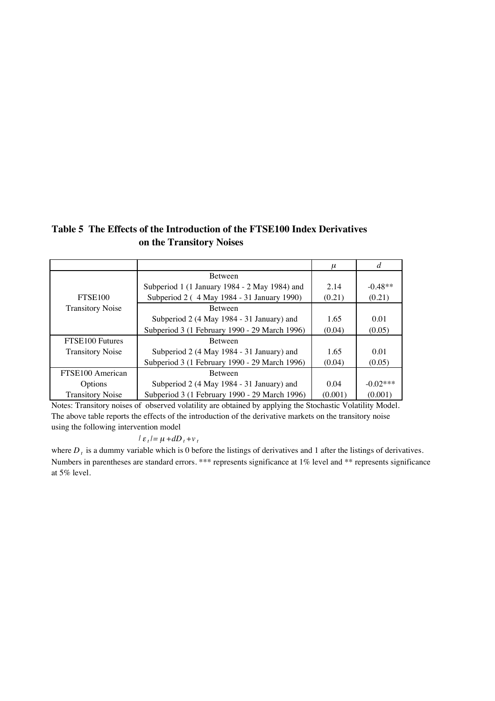$\mu$  *d* Between Subperiod 1 (1 January 1984 - 2 May 1984) and 2.14 -0.48\*\* FTSE100 Subperiod 2 ( 4 May 1984 - 31 January 1990) (0.21) (0.21) Transitory Noise Between Subperiod 2 (4 May 1984 - 31 January) and 1.65 0.01 Subperiod 3 (1 February 1990 - 29 March 1996) (0.04) (0.05) FTSE100 Futures Between Transitory Noise Subperiod 2 (4 May 1984 - 31 January) and  $1.65$  0.01 Subperiod 3 (1 February 1990 - 29 March 1996) (0.04) (0.05) FTSE100 American Between Options Subperiod 2 (4 May 1984 - 31 January) and 0.04  $-0.02***$ Transitory Noise Subperiod 3 (1 February 1990 - 29 March 1996) (0.001) (0.001)

**Table 5 The Effects of the Introduction of the FTSE100 Index Derivatives on the Transitory Noises**

Notes: Transitory noises of observed volatility are obtained by applying the Stochastic Volatility Model. The above table reports the effects of the introduction of the derivative markets on the transitory noise using the following intervention model

$$
l \varepsilon_t = \mu + dD_t + v_t
$$

where  $D_t$  is a dummy variable which is 0 before the listings of derivatives and 1 after the listings of derivatives. Numbers in parentheses are standard errors. \*\*\* represents significance at 1% level and \*\* represents significance at 5% level.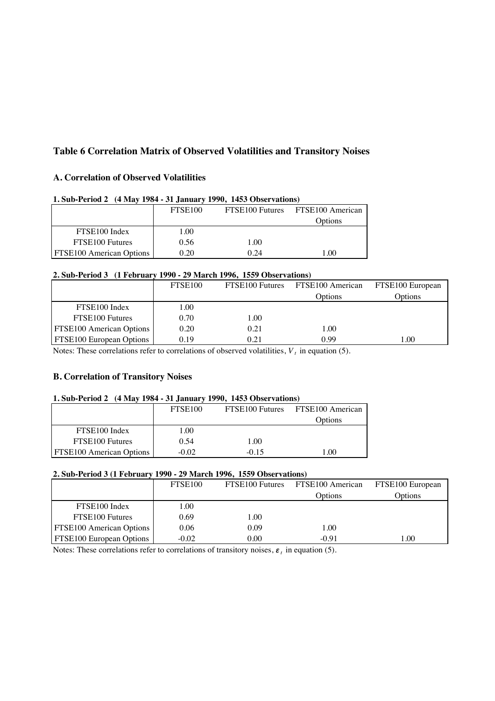# **Table 6 Correlation Matrix of Observed Volatilities and Transitory Noises**

# **A. Correlation of Observed Volatilities**

| 1. Sub-I clive $2 \rightarrow$ 14 May 1704 - 31 January 1770, 1433 Observations |                     |      |                                  |  |  |  |  |  |  |  |  |
|---------------------------------------------------------------------------------|---------------------|------|----------------------------------|--|--|--|--|--|--|--|--|
|                                                                                 | FTSE <sub>100</sub> |      | FTSE100 Futures FTSE100 American |  |  |  |  |  |  |  |  |
|                                                                                 |                     |      | Options                          |  |  |  |  |  |  |  |  |
| FTSE100 Index                                                                   | 1.00                |      |                                  |  |  |  |  |  |  |  |  |
| FTSE100 Futures                                                                 | 0.56                | 1.00 |                                  |  |  |  |  |  |  |  |  |
| <b>FTSE100 American Options</b>                                                 | 0.20                | 0.24 | 1.00                             |  |  |  |  |  |  |  |  |

### **1. Sub-Period 2 (4 May 1984 - 31 January 1990, 1453 Observations)**

### **2. Sub-Period 3 (1 February 1990 - 29 March 1996, 1559 Observations)**

|                          | FTSE <sub>100</sub> | FTSE100 Futures | FTSE100 American | FTSE100 European |
|--------------------------|---------------------|-----------------|------------------|------------------|
|                          |                     |                 | Options          | Options          |
| FTSE100 Index            | .00.                |                 |                  |                  |
| FTSE100 Futures          | 0.70                | 1.00            |                  |                  |
| FTSE100 American Options | 0.20                | 0.21            | 1.00             |                  |
| FTSE100 European Options | 0.19                | 0.21            | 0.99             | .00              |

Notes: These correlations refer to correlations of observed volatilities,  $V_t$  in equation (5).

### **B. Correlation of Transitory Noises**

#### **1. Sub-Period 2 (4 May 1984 - 31 January 1990, 1453 Observations)**

|                                 | FTSE <sub>100</sub> | FTSE100 Futures | FTSE100 American |
|---------------------------------|---------------------|-----------------|------------------|
|                                 |                     |                 | Options          |
| FTSE100 Index                   | 1.00                |                 |                  |
| FTSE100 Futures                 | 0.54                | 1.00            |                  |
| <b>FTSE100</b> American Options | -0.02               | $-0.15$         | .00              |

#### **2. Sub-Period 3 (1 February 1990 - 29 March 1996, 1559 Observations)**

|                                 | FTSE <sub>100</sub> | FTSE100 Futures | FTSE100 American | FTSE100 European |
|---------------------------------|---------------------|-----------------|------------------|------------------|
|                                 |                     |                 | Options          | Options          |
| FTSE100 Index                   | 1.00                |                 |                  |                  |
| FTSE100 Futures                 | 0.69                | 1.00            |                  |                  |
| <b>FTSE100 American Options</b> | 0.06                | 0.09            | 1.00             |                  |
| <b>FTSE100 European Options</b> | -0.02               | 0.00            | $-0.91$          | .00              |

Notes: These correlations refer to correlations of transitory noises,  $\varepsilon$ <sub>t</sub> in equation (5).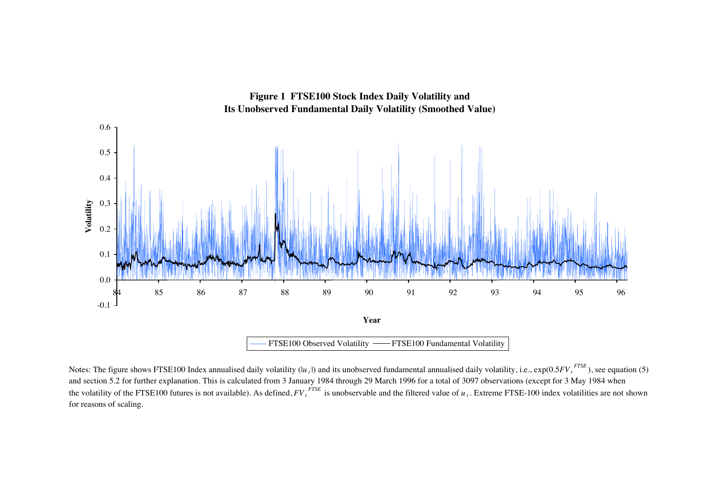

**Figure 1 FTSE100 Stock Index Daily Volatility and** 

Notes: The figure shows FTSE100 Index annualised daily volatility (*|u*<sub>t</sub>|) and its unobserved fundamental annualised daily volatility, i.e., exp(0.5FV<sub>t</sub><sup>FTSE</sup>), see equation (5) and section 5.2 for further explanation. This is calculated from 3 January 1984 through 29 March 1996 for a total of 3097 observations (except for 3 May 1984 when the volatility of the FTSE100 futures is not available). As defined,  $F{V_t}^{FSE}$  is unobservable and the filtered value of  $u_t$ . Extreme FTSE-100 index volatilities are not shown for reasons of scaling.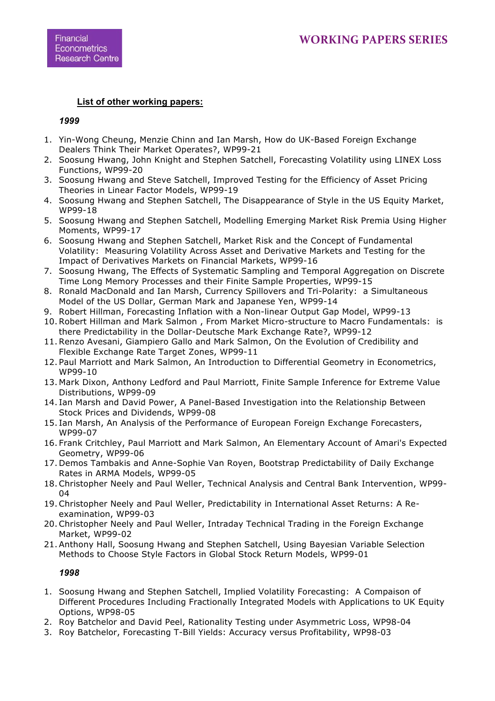# **List of other working papers:**

# *1999*

- 1. Yin-Wong Cheung, Menzie Chinn and Ian Marsh, How do UK-Based Foreign Exchange Dealers Think Their Market Operates?, WP99-21
- 2. Soosung Hwang, John Knight and Stephen Satchell, Forecasting Volatility using LINEX Loss Functions, WP99-20
- 3. Soosung Hwang and Steve Satchell, Improved Testing for the Efficiency of Asset Pricing Theories in Linear Factor Models, WP99-19
- 4. Soosung Hwang and Stephen Satchell, The Disappearance of Style in the US Equity Market, WP99-18
- 5. Soosung Hwang and Stephen Satchell, Modelling Emerging Market Risk Premia Using Higher Moments, WP99-17
- 6. Soosung Hwang and Stephen Satchell, Market Risk and the Concept of Fundamental Volatility: Measuring Volatility Across Asset and Derivative Markets and Testing for the Impact of Derivatives Markets on Financial Markets, WP99-16
- 7. Soosung Hwang, The Effects of Systematic Sampling and Temporal Aggregation on Discrete Time Long Memory Processes and their Finite Sample Properties, WP99-15
- 8. Ronald MacDonald and Ian Marsh, Currency Spillovers and Tri-Polarity: a Simultaneous Model of the US Dollar, German Mark and Japanese Yen, WP99-14
- 9. Robert Hillman, Forecasting Inflation with a Non-linear Output Gap Model, WP99-13
- 10.Robert Hillman and Mark Salmon , From Market Micro-structure to Macro Fundamentals: is there Predictability in the Dollar-Deutsche Mark Exchange Rate?, WP99-12
- 11.Renzo Avesani, Giampiero Gallo and Mark Salmon, On the Evolution of Credibility and Flexible Exchange Rate Target Zones, WP99-11
- 12. Paul Marriott and Mark Salmon, An Introduction to Differential Geometry in Econometrics, WP99-10
- 13. Mark Dixon, Anthony Ledford and Paul Marriott, Finite Sample Inference for Extreme Value Distributions, WP99-09
- 14. Ian Marsh and David Power, A Panel-Based Investigation into the Relationship Between Stock Prices and Dividends, WP99-08
- 15. Ian Marsh, An Analysis of the Performance of European Foreign Exchange Forecasters, WP99-07
- 16. Frank Critchley, Paul Marriott and Mark Salmon, An Elementary Account of Amari's Expected Geometry, WP99-06
- 17. Demos Tambakis and Anne-Sophie Van Royen, Bootstrap Predictability of Daily Exchange Rates in ARMA Models, WP99-05
- 18.Christopher Neely and Paul Weller, Technical Analysis and Central Bank Intervention, WP99- 04
- 19.Christopher Neely and Paul Weller, Predictability in International Asset Returns: A Reexamination, WP99-03
- 20.Christopher Neely and Paul Weller, Intraday Technical Trading in the Foreign Exchange Market, WP99-02
- 21. Anthony Hall, Soosung Hwang and Stephen Satchell, Using Bayesian Variable Selection Methods to Choose Style Factors in Global Stock Return Models, WP99-01

# *1998*

- 1. Soosung Hwang and Stephen Satchell, Implied Volatility Forecasting: A Compaison of Different Procedures Including Fractionally Integrated Models with Applications to UK Equity Options, WP98-05
- 2. Roy Batchelor and David Peel, Rationality Testing under Asymmetric Loss, WP98-04
- 3. Roy Batchelor, Forecasting T-Bill Yields: Accuracy versus Profitability, WP98-03